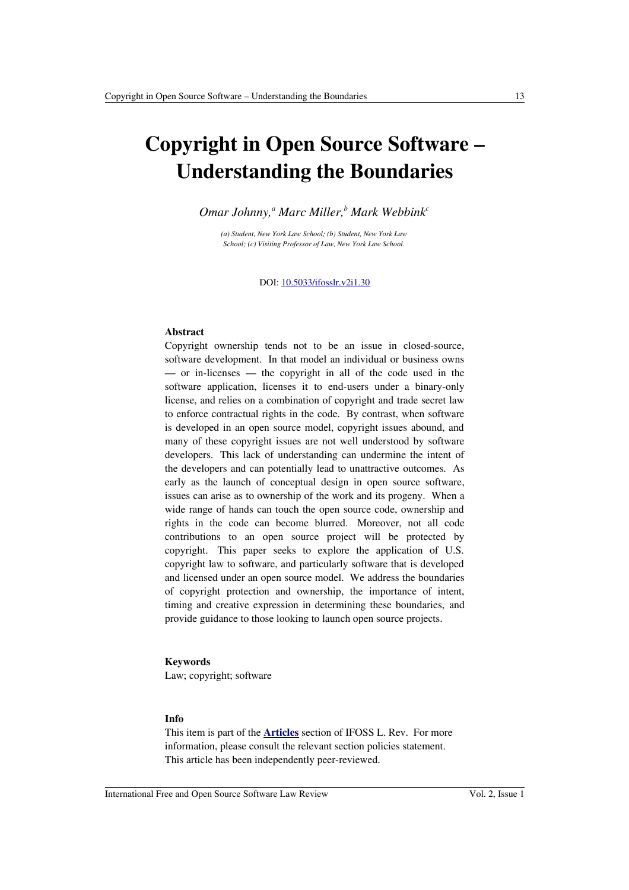# **Copyright in Open Source Software – Understanding the Boundaries**

*Omar Johnny,<sup>a</sup> Marc Miller,<sup>b</sup> Mark Webbink<sup>c</sup>*

*(a) Student, New York Law School; (b) Student, New York Law School; (c) Visiting Professor of Law, New York Law School.*

DOI: [10.5033/ifosslr.v2i1.30](http://dx.doi.org/10.5033/ifosslr.v2i1.30)

# **Abstract**

Copyright ownership tends not to be an issue in closed-source, software development. In that model an individual or business owns — or in-licenses — the copyright in all of the code used in the software application, licenses it to end-users under a binary-only license, and relies on a combination of copyright and trade secret law to enforce contractual rights in the code. By contrast, when software is developed in an open source model, copyright issues abound, and many of these copyright issues are not well understood by software developers. This lack of understanding can undermine the intent of the developers and can potentially lead to unattractive outcomes. As early as the launch of conceptual design in open source software, issues can arise as to ownership of the work and its progeny. When a wide range of hands can touch the open source code, ownership and rights in the code can become blurred. Moreover, not all code contributions to an open source project will be protected by copyright. This paper seeks to explore the application of U.S. copyright law to software, and particularly software that is developed and licensed under an open source model. We address the boundaries of copyright protection and ownership, the importance of intent, timing and creative expression in determining these boundaries, and provide guidance to those looking to launch open source projects.

#### **Keywords**

Law; copyright; software

### **Info**

This item is part of the **[Articles](http://www.ifosslr.org/ifosslr/about/editorialPolicies#sectionPolicies)** section of IFOSS L. Rev. For more information, please consult the relevant section policies statement. This article has been independently peer-reviewed.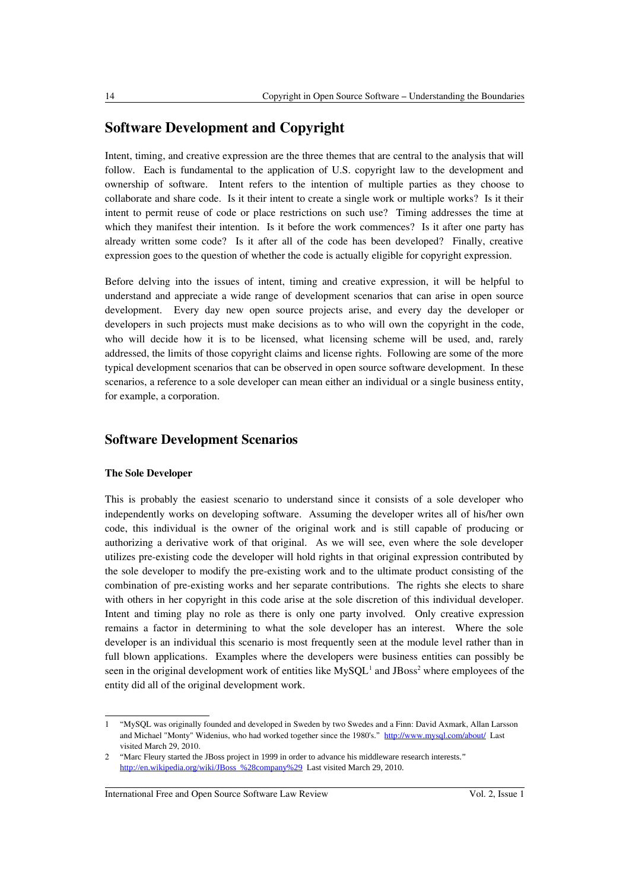# **Software Development and Copyright**

Intent, timing, and creative expression are the three themes that are central to the analysis that will follow. Each is fundamental to the application of U.S. copyright law to the development and ownership of software. Intent refers to the intention of multiple parties as they choose to collaborate and share code. Is it their intent to create a single work or multiple works? Is it their intent to permit reuse of code or place restrictions on such use? Timing addresses the time at which they manifest their intention. Is it before the work commences? Is it after one party has already written some code? Is it after all of the code has been developed? Finally, creative expression goes to the question of whether the code is actually eligible for copyright expression.

Before delving into the issues of intent, timing and creative expression, it will be helpful to understand and appreciate a wide range of development scenarios that can arise in open source development. Every day new open source projects arise, and every day the developer or developers in such projects must make decisions as to who will own the copyright in the code, who will decide how it is to be licensed, what licensing scheme will be used, and, rarely addressed, the limits of those copyright claims and license rights. Following are some of the more typical development scenarios that can be observed in open source software development. In these scenarios, a reference to a sole developer can mean either an individual or a single business entity, for example, a corporation.

# **Software Development Scenarios**

### **The Sole Developer**

This is probably the easiest scenario to understand since it consists of a sole developer who independently works on developing software. Assuming the developer writes all of his/her own code, this individual is the owner of the original work and is still capable of producing or authorizing a derivative work of that original. As we will see, even where the sole developer utilizes pre-existing code the developer will hold rights in that original expression contributed by the sole developer to modify the pre-existing work and to the ultimate product consisting of the combination of pre-existing works and her separate contributions. The rights she elects to share with others in her copyright in this code arise at the sole discretion of this individual developer. Intent and timing play no role as there is only one party involved. Only creative expression remains a factor in determining to what the sole developer has an interest. Where the sole developer is an individual this scenario is most frequently seen at the module level rather than in full blown applications. Examples where the developers were business entities can possibly be seen in the original development work of entities like  $MySQL<sup>1</sup>$  $MySQL<sup>1</sup>$  $MySQL<sup>1</sup>$  and JBoss<sup>[2](#page-1-1)</sup> where employees of the entity did all of the original development work.

International Free and Open Source Software Law Review Vol. 2, Issue 1

<span id="page-1-0"></span><sup>1</sup> "MySQL was originally founded and developed in Sweden by two Swedes and a Finn: David Axmark, Allan Larsson and Michael "Monty" Widenius, who had worked together since the 1980's." <http://www.mysql.com/about/>Last visited March 29, 2010.

<span id="page-1-1"></span><sup>2</sup> "Marc Fleury started the JBoss project in 1999 in order to advance his middleware research interests." [http://en.wikipedia.org/wiki/JBoss\\_%28company%29](http://en.wikipedia.org/wiki/JBoss_(company)) Last visited March 29, 2010.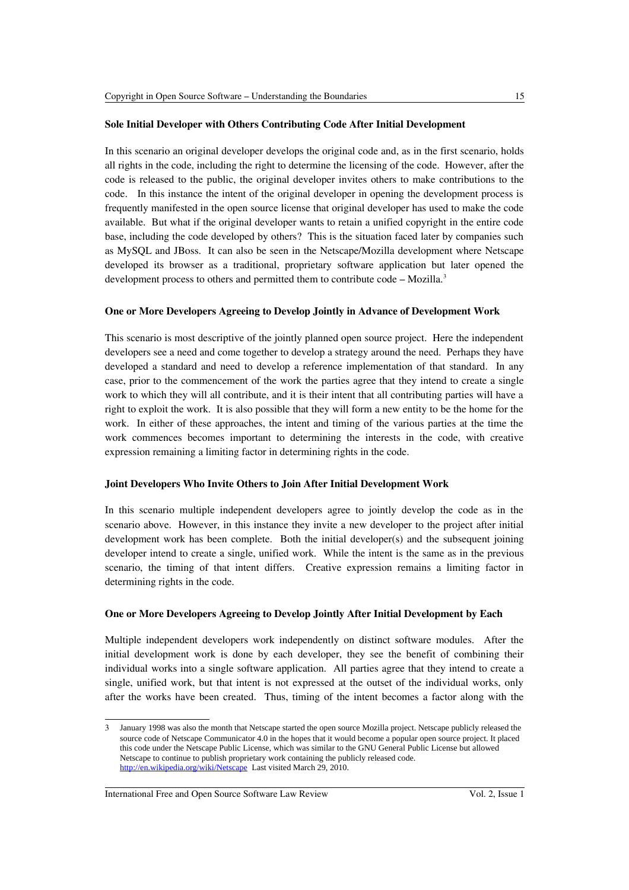# **Sole Initial Developer with Others Contributing Code After Initial Development**

In this scenario an original developer develops the original code and, as in the first scenario, holds all rights in the code, including the right to determine the licensing of the code. However, after the code is released to the public, the original developer invites others to make contributions to the code. In this instance the intent of the original developer in opening the development process is frequently manifested in the open source license that original developer has used to make the code available. But what if the original developer wants to retain a unified copyright in the entire code base, including the code developed by others? This is the situation faced later by companies such as MySQL and JBoss. It can also be seen in the Netscape/Mozilla development where Netscape developed its browser as a traditional, proprietary software application but later opened the development process to others and permitted them to contribute code  $-$  Mozilla.<sup>[3](#page-2-0)</sup>

# **One or More Developers Agreeing to Develop Jointly in Advance of Development Work**

This scenario is most descriptive of the jointly planned open source project. Here the independent developers see a need and come together to develop a strategy around the need. Perhaps they have developed a standard and need to develop a reference implementation of that standard. In any case, prior to the commencement of the work the parties agree that they intend to create a single work to which they will all contribute, and it is their intent that all contributing parties will have a right to exploit the work. It is also possible that they will form a new entity to be the home for the work. In either of these approaches, the intent and timing of the various parties at the time the work commences becomes important to determining the interests in the code, with creative expression remaining a limiting factor in determining rights in the code.

# **Joint Developers Who Invite Others to Join After Initial Development Work**

In this scenario multiple independent developers agree to jointly develop the code as in the scenario above. However, in this instance they invite a new developer to the project after initial development work has been complete. Both the initial developer(s) and the subsequent joining developer intend to create a single, unified work. While the intent is the same as in the previous scenario, the timing of that intent differs. Creative expression remains a limiting factor in determining rights in the code.

# **One or More Developers Agreeing to Develop Jointly After Initial Development by Each**

Multiple independent developers work independently on distinct software modules. After the initial development work is done by each developer, they see the benefit of combining their individual works into a single software application. All parties agree that they intend to create a single, unified work, but that intent is not expressed at the outset of the individual works, only after the works have been created. Thus, timing of the intent becomes a factor along with the

<span id="page-2-0"></span><sup>3</sup> January 1998 was also the month that Netscape started the open source Mozilla project. Netscape publicly released the source code of Netscape Communicator 4.0 in the hopes that it would become a popular open source project. It placed this code under the Netscape Public License, which was similar to the GNU General Public License but allowed Netscape to continue to publish proprietary work containing the publicly released code. <http://en.wikipedia.org/wiki/Netscape>Last visited March 29, 2010.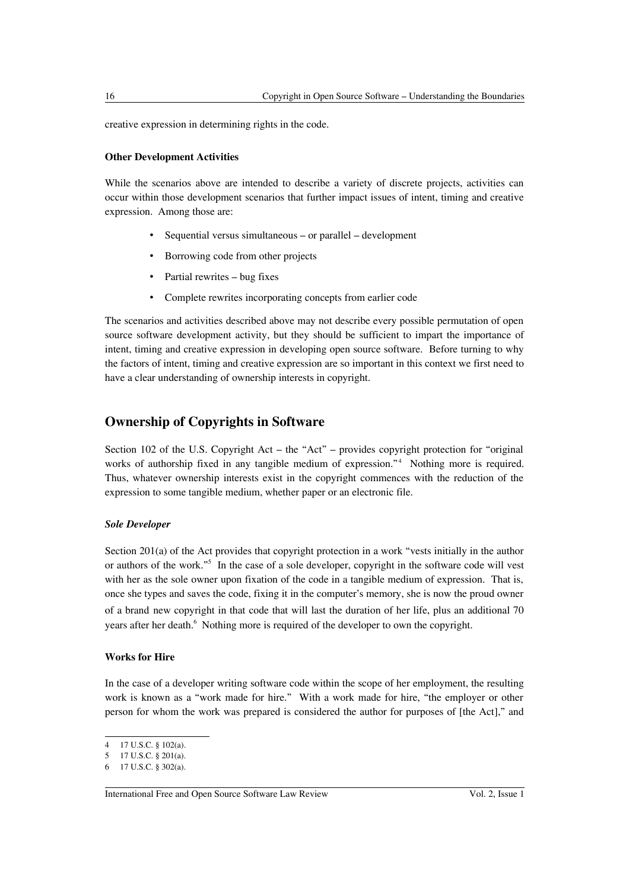creative expression in determining rights in the code.

# **Other Development Activities**

While the scenarios above are intended to describe a variety of discrete projects, activities can occur within those development scenarios that further impact issues of intent, timing and creative expression. Among those are:

- Sequential versus simultaneous or parallel development
- Borrowing code from other projects
- Partial rewrites bug fixes
- Complete rewrites incorporating concepts from earlier code

The scenarios and activities described above may not describe every possible permutation of open source software development activity, but they should be sufficient to impart the importance of intent, timing and creative expression in developing open source software. Before turning to why the factors of intent, timing and creative expression are so important in this context we first need to have a clear understanding of ownership interests in copyright.

# **Ownership of Copyrights in Software**

Section 102 of the U.S. Copyright Act – the "Act" – provides copyright protection for "original works of authorship fixed in any tangible medium of expression."[4](#page-3-0) Nothing more is required. Thus, whatever ownership interests exist in the copyright commences with the reduction of the expression to some tangible medium, whether paper or an electronic file.

#### *Sole Developer*

Section 201(a) of the Act provides that copyright protection in a work "vests initially in the author or authors of the work."<sup>[5](#page-3-1)</sup> In the case of a sole developer, copyright in the software code will vest with her as the sole owner upon fixation of the code in a tangible medium of expression. That is, once she types and saves the code, fixing it in the computer's memory, she is now the proud owner of a brand new copyright in that code that will last the duration of her life, plus an additional 70 years after her death.<sup>[6](#page-3-2)</sup> Nothing more is required of the developer to own the copyright.

# **Works for Hire**

In the case of a developer writing software code within the scope of her employment, the resulting work is known as a "work made for hire." With a work made for hire, "the employer or other person for whom the work was prepared is considered the author for purposes of [the Act]," and

<span id="page-3-0"></span><sup>4</sup> 17 U.S.C. § 102(a).

<span id="page-3-1"></span><sup>5</sup> 17 U.S.C. § 201(a).

<span id="page-3-2"></span><sup>6</sup> 17 U.S.C. § 302(a).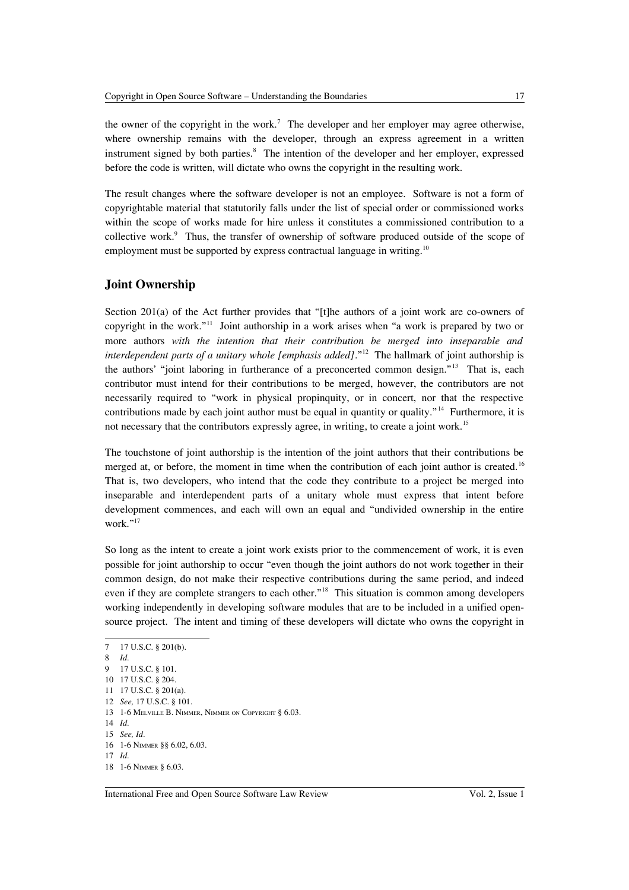the owner of the copyright in the work.<sup>[7](#page-4-0)</sup> The developer and her employer may agree otherwise, where ownership remains with the developer, through an express agreement in a written instrument signed by both parties.<sup>[8](#page-4-1)</sup> The intention of the developer and her employer, expressed before the code is written, will dictate who owns the copyright in the resulting work.

The result changes where the software developer is not an employee. Software is not a form of copyrightable material that statutorily falls under the list of special order or commissioned works within the scope of works made for hire unless it constitutes a commissioned contribution to a collective work.<sup>[9](#page-4-2)</sup> Thus, the transfer of ownership of software produced outside of the scope of employment must be supported by express contractual language in writing.<sup>[10](#page-4-3)</sup>

# **Joint Ownership**

Section 201(a) of the Act further provides that "[t]he authors of a joint work are co-owners of copyright in the work."[11](#page-4-4) Joint authorship in a work arises when "a work is prepared by two or more authors *with the intention that their contribution be merged into inseparable and interdependent parts of a unitary whole [emphasis added]*."<sup>[12](#page-4-5)</sup> The hallmark of joint authorship is the authors' "joint laboring in furtherance of a preconcerted common design."<sup>[13](#page-4-6)</sup> That is, each contributor must intend for their contributions to be merged, however, the contributors are not necessarily required to "work in physical propinquity, or in concert, nor that the respective contributions made by each joint author must be equal in quantity or quality."<sup>[14](#page-4-7)</sup> Furthermore, it is not necessary that the contributors expressly agree, in writing, to create a joint work.<sup>[15](#page-4-8)</sup>

The touchstone of joint authorship is the intention of the joint authors that their contributions be merged at, or before, the moment in time when the contribution of each joint author is created.<sup>[16](#page-4-9)</sup> That is, two developers, who intend that the code they contribute to a project be merged into inseparable and interdependent parts of a unitary whole must express that intent before development commences, and each will own an equal and "undivided ownership in the entire work."<sup>[17](#page-4-10)</sup>

So long as the intent to create a joint work exists prior to the commencement of work, it is even possible for joint authorship to occur "even though the joint authors do not work together in their common design, do not make their respective contributions during the same period, and indeed even if they are complete strangers to each other."<sup>[18](#page-4-11)</sup> This situation is common among developers working independently in developing software modules that are to be included in a unified opensource project. The intent and timing of these developers will dictate who owns the copyright in

<span id="page-4-0"></span><sup>7</sup> 17 U.S.C. § 201(b).

<span id="page-4-1"></span><sup>8</sup> *Id*.

<span id="page-4-2"></span><sup>9</sup> 17 U.S.C. § 101.

<span id="page-4-3"></span><sup>10</sup> 17 U.S.C. § 204.

<span id="page-4-4"></span><sup>11</sup> 17 U.S.C. § 201(a).

<span id="page-4-5"></span><sup>12</sup> *See,* 17 U.S.C. § 101.

<span id="page-4-6"></span><sup>13</sup> 1-6 MELVILLE B. NIMMER, NIMMER ON COPYRIGHT § 6.03.

<span id="page-4-7"></span><sup>14</sup> *Id*.

<span id="page-4-8"></span><sup>15</sup> *See, Id*.

<span id="page-4-9"></span><sup>16</sup> 1-6 NIMMER §§ 6.02, 6.03.

<span id="page-4-10"></span><sup>17</sup> *Id*.

<span id="page-4-11"></span><sup>18</sup> 1-6 NIMMER § 6.03.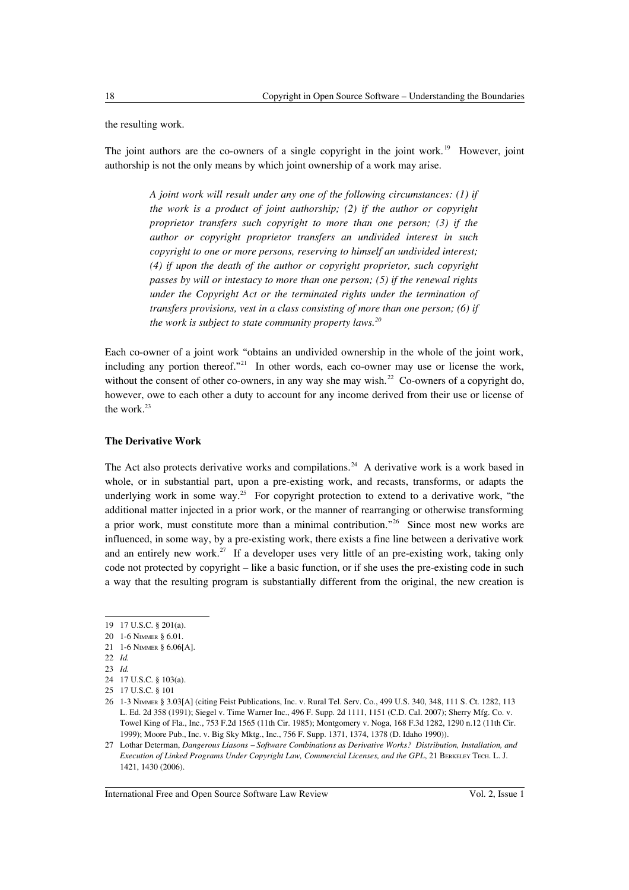the resulting work.

The joint authors are the co-owners of a single copyright in the joint work.<sup>[19](#page-5-0)</sup> However, joint authorship is not the only means by which joint ownership of a work may arise.

> *A joint work will result under any one of the following circumstances: (1) if the work is a product of joint authorship; (2) if the author or copyright proprietor transfers such copyright to more than one person; (3) if the author or copyright proprietor transfers an undivided interest in such copyright to one or more persons, reserving to himself an undivided interest; (4) if upon the death of the author or copyright proprietor, such copyright passes by will or intestacy to more than one person; (5) if the renewal rights under the Copyright Act or the terminated rights under the termination of transfers provisions, vest in a class consisting of more than one person; (6) if the work is subject to state community property laws.[20](#page-5-1)*

Each co-owner of a joint work "obtains an undivided ownership in the whole of the joint work, including any portion thereof."<sup>[21](#page-5-2)</sup> In other words, each co-owner may use or license the work, without the consent of other co-owners, in any way she may wish.<sup>[22](#page-5-3)</sup> Co-owners of a copyright do, however, owe to each other a duty to account for any income derived from their use or license of the work.<sup>[23](#page-5-4)</sup>

### **The Derivative Work**

The Act also protects derivative works and compilations.<sup>[24](#page-5-5)</sup> A derivative work is a work based in whole, or in substantial part, upon a pre-existing work, and recasts, transforms, or adapts the underlying work in some way.<sup>[25](#page-5-6)</sup> For copyright protection to extend to a derivative work, "the additional matter injected in a prior work, or the manner of rearranging or otherwise transforming a prior work, must constitute more than a minimal contribution."[26](#page-5-7) Since most new works are influenced, in some way, by a pre-existing work, there exists a fine line between a derivative work and an entirely new work.<sup>[27](#page-5-8)</sup> If a developer uses very little of an pre-existing work, taking only code not protected by copyright – like a basic function, or if she uses the pre-existing code in such a way that the resulting program is substantially different from the original, the new creation is

<span id="page-5-0"></span><sup>19</sup> 17 U.S.C. § 201(a).

<span id="page-5-1"></span><sup>20</sup> 1-6 NIMMER § 6.01.

<span id="page-5-2"></span><sup>21</sup> 1-6 NIMMER § 6.06[A].

<span id="page-5-3"></span><sup>22</sup> *Id.*

<span id="page-5-4"></span><sup>23</sup> *Id.*

<span id="page-5-6"></span><span id="page-5-5"></span><sup>24</sup> 17 U.S.C. § 103(a). 25 17 U.S.C. § 101

<span id="page-5-7"></span><sup>26</sup> 1-3 NIMMER § 3.03[A] (citing Feist Publications, Inc. v. Rural Tel. Serv. Co., 499 U.S. 340, 348, 111 S. Ct. 1282, 113 L. Ed. 2d 358 (1991); Siegel v. Time Warner Inc., 496 F. Supp. 2d 1111, 1151 (C.D. Cal. 2007); Sherry Mfg. Co. v. Towel King of Fla., Inc., 753 F.2d 1565 (11th Cir. 1985); Montgomery v. Noga, 168 F.3d 1282, 1290 n.12 (11th Cir. 1999); Moore Pub., Inc. v. Big Sky Mktg., Inc., 756 F. Supp. 1371, 1374, 1378 (D. Idaho 1990)).

<span id="page-5-8"></span><sup>27</sup> Lothar Determan, *Dangerous Liasons – Software Combinations as Derivative Works? Distribution, Installation, and Execution of Linked Programs Under Copyright Law, Commercial Licenses, and the GPL*, 21 BERKELEY TECH. L. J. 1421, 1430 (2006).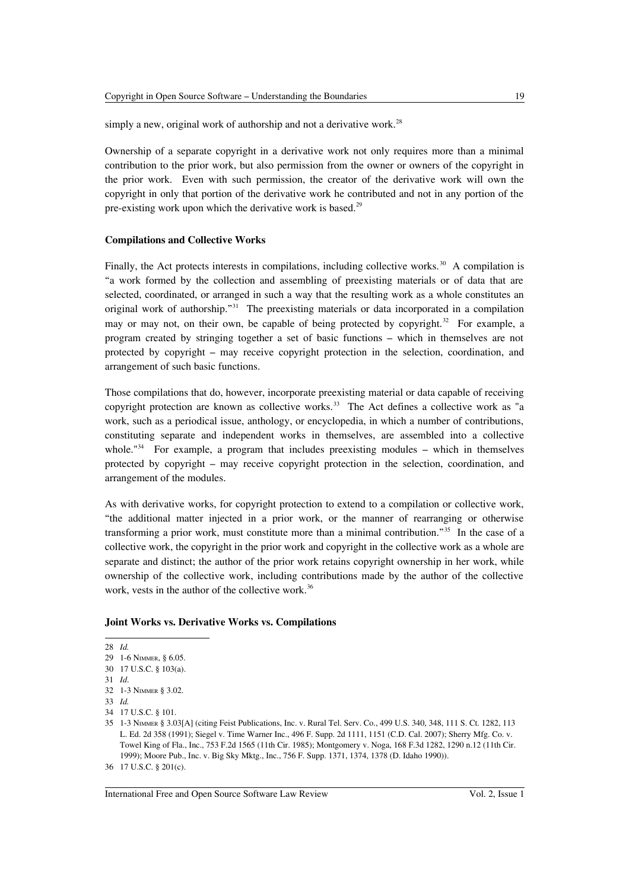simply a new, original work of authorship and not a derivative work.<sup>[28](#page-6-0)</sup>

Ownership of a separate copyright in a derivative work not only requires more than a minimal contribution to the prior work, but also permission from the owner or owners of the copyright in the prior work. Even with such permission, the creator of the derivative work will own the copyright in only that portion of the derivative work he contributed and not in any portion of the pre-existing work upon which the derivative work is based.<sup>[29](#page-6-1)</sup>

# **Compilations and Collective Works**

Finally, the Act protects interests in compilations, including collective works.<sup>[30](#page-6-2)</sup> A compilation is "a work formed by the collection and assembling of preexisting materials or of data that are selected, coordinated, or arranged in such a way that the resulting work as a whole constitutes an original work of authorship."[31](#page-6-3) The preexisting materials or data incorporated in a compilation may or may not, on their own, be capable of being protected by copyright.<sup>[32](#page-6-4)</sup> For example, a program created by stringing together a set of basic functions – which in themselves are not protected by copyright – may receive copyright protection in the selection, coordination, and arrangement of such basic functions.

Those compilations that do, however, incorporate preexisting material or data capable of receiving copyright protection are known as collective works. $33$  The Act defines a collective work as "a work, such as a periodical issue, anthology, or encyclopedia, in which a number of contributions, constituting separate and independent works in themselves, are assembled into a collective whole. $"^{34}$  $"^{34}$  $"^{34}$  For example, a program that includes preexisting modules – which in themselves protected by copyright – may receive copyright protection in the selection, coordination, and arrangement of the modules.

As with derivative works, for copyright protection to extend to a compilation or collective work, "the additional matter injected in a prior work, or the manner of rearranging or otherwise transforming a prior work, must constitute more than a minimal contribution."[35](#page-6-7) In the case of a collective work, the copyright in the prior work and copyright in the collective work as a whole are separate and distinct; the author of the prior work retains copyright ownership in her work, while ownership of the collective work, including contributions made by the author of the collective work, vests in the author of the collective work.<sup>[36](#page-6-8)</sup>

#### **Joint Works vs. Derivative Works vs. Compilations**

<span id="page-6-0"></span>28 *Id.*

<span id="page-6-1"></span><sup>29</sup> 1-6 NIMMER, § 6.05.

<span id="page-6-2"></span><sup>30</sup> 17 U.S.C. § 103(a).

<span id="page-6-3"></span><sup>31</sup> *Id*.

<span id="page-6-4"></span><sup>32</sup> 1-3 NIMMER § 3.02.

<span id="page-6-5"></span><sup>33</sup> *Id.*

<span id="page-6-6"></span><sup>34</sup> 17 U.S.C. § 101.

<span id="page-6-7"></span><sup>35</sup> 1-3 NIMMER § 3.03[A] (citing Feist Publications, Inc. v. Rural Tel. Serv. Co., 499 U.S. 340, 348, 111 S. Ct. 1282, 113 L. Ed. 2d 358 (1991); Siegel v. Time Warner Inc., 496 F. Supp. 2d 1111, 1151 (C.D. Cal. 2007); Sherry Mfg. Co. v. Towel King of Fla., Inc., 753 F.2d 1565 (11th Cir. 1985); Montgomery v. Noga, 168 F.3d 1282, 1290 n.12 (11th Cir. 1999); Moore Pub., Inc. v. Big Sky Mktg., Inc., 756 F. Supp. 1371, 1374, 1378 (D. Idaho 1990)).

<span id="page-6-8"></span><sup>36</sup> 17 U.S.C. § 201(c).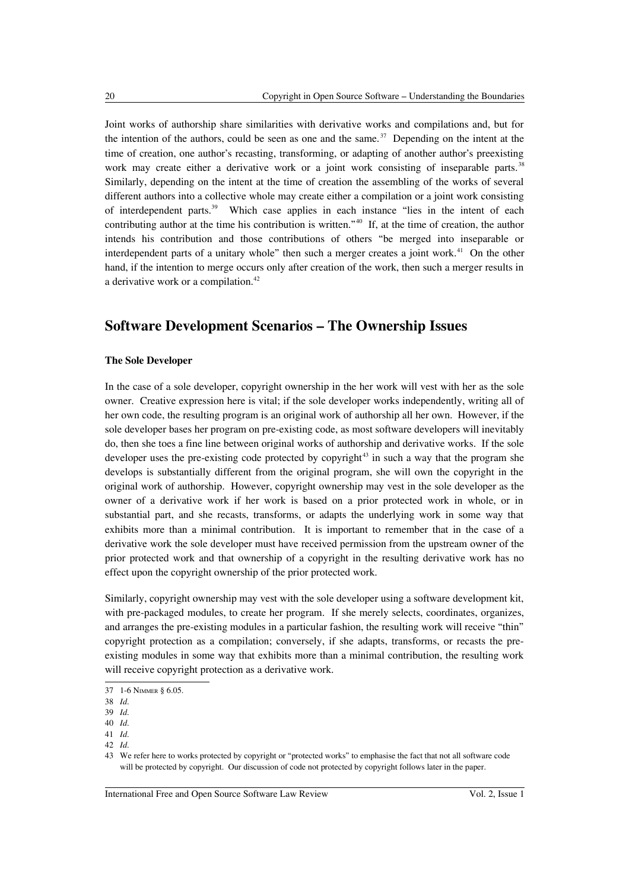Joint works of authorship share similarities with derivative works and compilations and, but for the intention of the authors, could be seen as one and the same.<sup>[37](#page-7-0)</sup> Depending on the intent at the time of creation, one author's recasting, transforming, or adapting of another author's preexisting work may create either a derivative work or a joint work consisting of inseparable parts.<sup>[38](#page-7-1)</sup> Similarly, depending on the intent at the time of creation the assembling of the works of several different authors into a collective whole may create either a compilation or a joint work consisting of interdependent parts.[39](#page-7-2) Which case applies in each instance "lies in the intent of each contributing author at the time his contribution is written."[40](#page-7-3) If, at the time of creation, the author intends his contribution and those contributions of others "be merged into inseparable or interdependent parts of a unitary whole" then such a merger creates a joint work. $4<sup>1</sup>$  On the other hand, if the intention to merge occurs only after creation of the work, then such a merger results in a derivative work or a compilation.<sup>[42](#page-7-5)</sup>

# **Software Development Scenarios – The Ownership Issues**

#### **The Sole Developer**

In the case of a sole developer, copyright ownership in the her work will vest with her as the sole owner. Creative expression here is vital; if the sole developer works independently, writing all of her own code, the resulting program is an original work of authorship all her own. However, if the sole developer bases her program on pre-existing code, as most software developers will inevitably do, then she toes a fine line between original works of authorship and derivative works. If the sole developer uses the pre-existing code protected by copyright<sup>[43](#page-7-6)</sup> in such a way that the program she develops is substantially different from the original program, she will own the copyright in the original work of authorship. However, copyright ownership may vest in the sole developer as the owner of a derivative work if her work is based on a prior protected work in whole, or in substantial part, and she recasts, transforms, or adapts the underlying work in some way that exhibits more than a minimal contribution. It is important to remember that in the case of a derivative work the sole developer must have received permission from the upstream owner of the prior protected work and that ownership of a copyright in the resulting derivative work has no effect upon the copyright ownership of the prior protected work.

Similarly, copyright ownership may vest with the sole developer using a software development kit, with pre-packaged modules, to create her program. If she merely selects, coordinates, organizes, and arranges the pre-existing modules in a particular fashion, the resulting work will receive "thin" copyright protection as a compilation; conversely, if she adapts, transforms, or recasts the preexisting modules in some way that exhibits more than a minimal contribution, the resulting work will receive copyright protection as a derivative work.

<span id="page-7-0"></span><sup>37</sup> 1-6 NIMMER § 6.05.

<span id="page-7-1"></span><sup>38</sup> *Id*.

<span id="page-7-2"></span><sup>39</sup> *Id*.

<span id="page-7-3"></span><sup>40</sup> *Id*.

<span id="page-7-4"></span><sup>41</sup> *Id*.

<span id="page-7-5"></span><sup>42</sup> *Id*.

<span id="page-7-6"></span><sup>43</sup> We refer here to works protected by copyright or "protected works" to emphasise the fact that not all software code will be protected by copyright. Our discussion of code not protected by copyright follows later in the paper.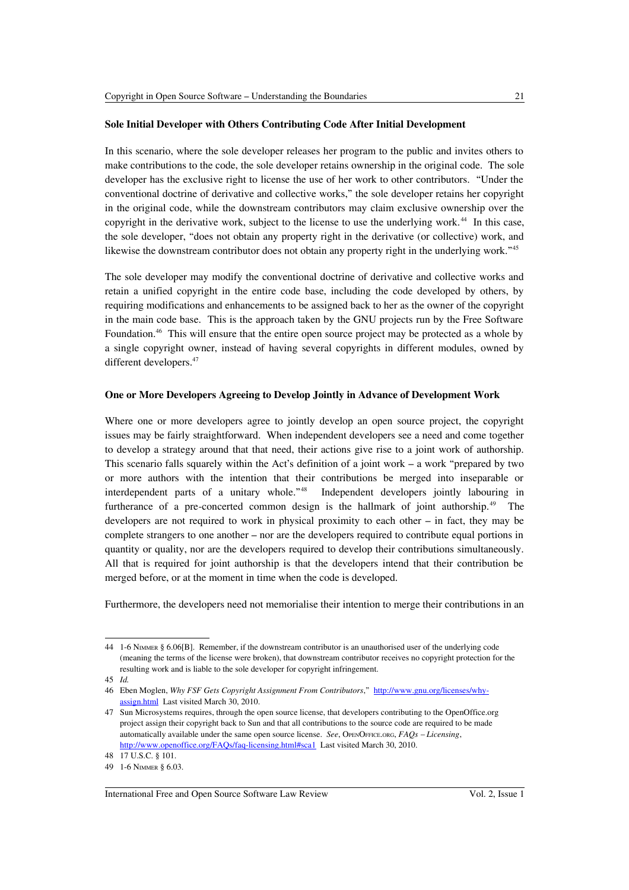# **Sole Initial Developer with Others Contributing Code After Initial Development**

In this scenario, where the sole developer releases her program to the public and invites others to make contributions to the code, the sole developer retains ownership in the original code. The sole developer has the exclusive right to license the use of her work to other contributors. "Under the conventional doctrine of derivative and collective works," the sole developer retains her copyright in the original code, while the downstream contributors may claim exclusive ownership over the copyright in the derivative work, subject to the license to use the underlying work.<sup>[44](#page-8-0)</sup> In this case, the sole developer, "does not obtain any property right in the derivative (or collective) work, and likewise the downstream contributor does not obtain any property right in the underlying work."<sup>[45](#page-8-1)</sup>

The sole developer may modify the conventional doctrine of derivative and collective works and retain a unified copyright in the entire code base, including the code developed by others, by requiring modifications and enhancements to be assigned back to her as the owner of the copyright in the main code base. This is the approach taken by the GNU projects run by the Free Software Foundation.[46](#page-8-2) This will ensure that the entire open source project may be protected as a whole by a single copyright owner, instead of having several copyrights in different modules, owned by different developers.<sup>[47](#page-8-3)</sup>

#### **One or More Developers Agreeing to Develop Jointly in Advance of Development Work**

Where one or more developers agree to jointly develop an open source project, the copyright issues may be fairly straightforward. When independent developers see a need and come together to develop a strategy around that that need, their actions give rise to a joint work of authorship. This scenario falls squarely within the Act's definition of a joint work – a work "prepared by two or more authors with the intention that their contributions be merged into inseparable or interdependent parts of a unitary whole."[48](#page-8-4) Independent developers jointly labouring in furtherance of a pre-concerted common design is the hallmark of joint authorship.[49](#page-8-5) The developers are not required to work in physical proximity to each other – in fact, they may be complete strangers to one another – nor are the developers required to contribute equal portions in quantity or quality, nor are the developers required to develop their contributions simultaneously. All that is required for joint authorship is that the developers intend that their contribution be merged before, or at the moment in time when the code is developed.

Furthermore, the developers need not memorialise their intention to merge their contributions in an

<span id="page-8-0"></span><sup>44</sup> 1-6 NIMMER § 6.06[B]. Remember, if the downstream contributor is an unauthorised user of the underlying code (meaning the terms of the license were broken), that downstream contributor receives no copyright protection for the resulting work and is liable to the sole developer for copyright infringement.

<span id="page-8-1"></span><sup>45</sup> *Id.*

<span id="page-8-2"></span><sup>46</sup> Eben Moglen, *Why FSF Gets Copyright Assignment From Contributors*," [http://www.gnu.org/licenses/why](http://www.gnu.org/licenses/why-assign.html)[assign.html](http://www.gnu.org/licenses/why-assign.html) Last visited March 30, 2010.

<span id="page-8-3"></span><sup>47</sup> Sun Microsystems requires, through the open source license, that developers contributing to the OpenOffice.org project assign their copyright back to Sun and that all contributions to the source code are required to be made automatically available under the same open source license. *See*, OPENOFFICE.ORG, *FAQs – Licensing*, <http://www.openoffice.org/FAQs/faq-licensing.html#sca1>Last visited March 30, 2010.

<span id="page-8-4"></span><sup>48</sup> 17 U.S.C. § 101.

<span id="page-8-5"></span><sup>49</sup> 1-6 NIMMER § 6.03.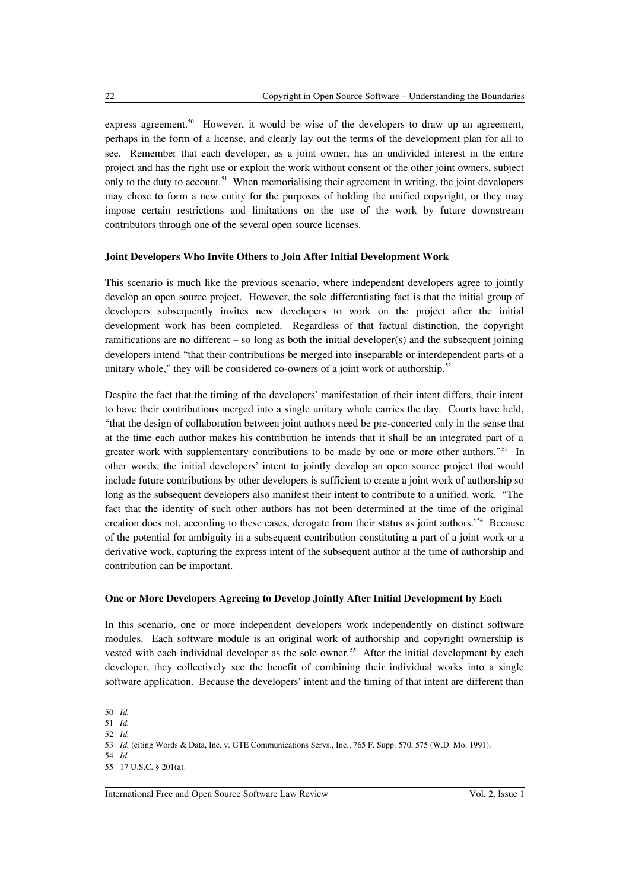express agreement.<sup>[50](#page-9-0)</sup> However, it would be wise of the developers to draw up an agreement, perhaps in the form of a license, and clearly lay out the terms of the development plan for all to see. Remember that each developer, as a joint owner, has an undivided interest in the entire project and has the right use or exploit the work without consent of the other joint owners, subject only to the duty to account.<sup>[51](#page-9-1)</sup> When memorialising their agreement in writing, the joint developers may chose to form a new entity for the purposes of holding the unified copyright, or they may impose certain restrictions and limitations on the use of the work by future downstream contributors through one of the several open source licenses.

#### **Joint Developers Who Invite Others to Join After Initial Development Work**

This scenario is much like the previous scenario, where independent developers agree to jointly develop an open source project. However, the sole differentiating fact is that the initial group of developers subsequently invites new developers to work on the project after the initial development work has been completed. Regardless of that factual distinction, the copyright ramifications are no different – so long as both the initial developer(s) and the subsequent joining developers intend "that their contributions be merged into inseparable or interdependent parts of a unitary whole," they will be considered co-owners of a joint work of authorship.<sup>[52](#page-9-2)</sup>

Despite the fact that the timing of the developers' manifestation of their intent differs, their intent to have their contributions merged into a single unitary whole carries the day. Courts have held, "that the design of collaboration between joint authors need be pre-concerted only in the sense that at the time each author makes his contribution he intends that it shall be an integrated part of a greater work with supplementary contributions to be made by one or more other authors."<sup>[53](#page-9-3)</sup> In other words, the initial developers' intent to jointly develop an open source project that would include future contributions by other developers is sufficient to create a joint work of authorship so long as the subsequent developers also manifest their intent to contribute to a unified. work. "The fact that the identity of such other authors has not been determined at the time of the original creation does not, according to these cases, derogate from their status as joint authors.'[54](#page-9-4) Because of the potential for ambiguity in a subsequent contribution constituting a part of a joint work or a derivative work, capturing the express intent of the subsequent author at the time of authorship and contribution can be important.

#### **One or More Developers Agreeing to Develop Jointly After Initial Development by Each**

In this scenario, one or more independent developers work independently on distinct software modules. Each software module is an original work of authorship and copyright ownership is vested with each individual developer as the sole owner.<sup>[55](#page-9-5)</sup> After the initial development by each developer, they collectively see the benefit of combining their individual works into a single software application. Because the developers' intent and the timing of that intent are different than

<span id="page-9-0"></span><sup>50</sup> *Id.*

<span id="page-9-1"></span><sup>51</sup> *Id.*

<span id="page-9-2"></span><sup>52</sup> *Id.*

<span id="page-9-3"></span><sup>53</sup> *Id.* (citing Words & Data, Inc. v. GTE Communications Servs., Inc., 765 F. Supp. 570, 575 (W.D. Mo. 1991).

<span id="page-9-4"></span><sup>54</sup> *Id.*

<span id="page-9-5"></span><sup>55</sup> 17 U.S.C. § 201(a).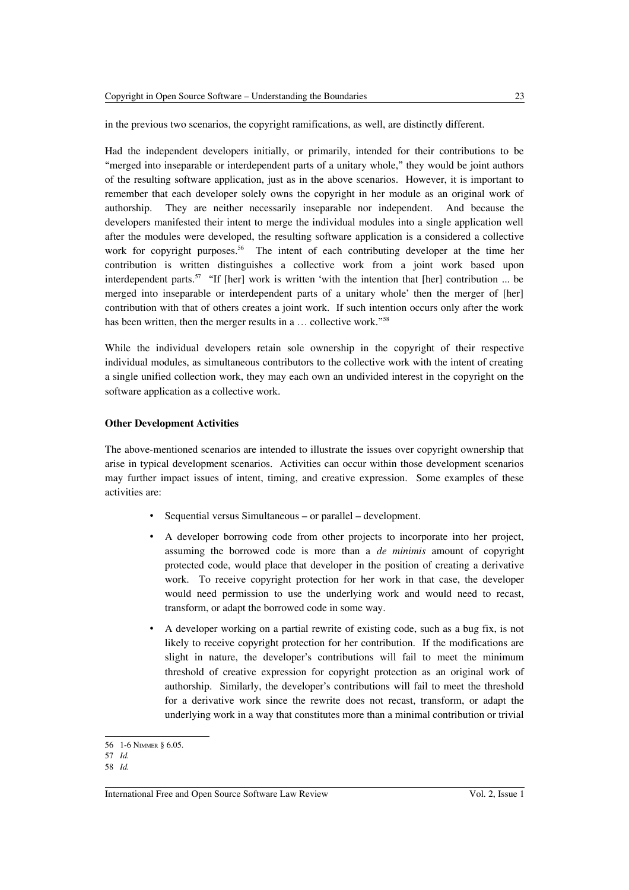Had the independent developers initially, or primarily, intended for their contributions to be "merged into inseparable or interdependent parts of a unitary whole," they would be joint authors of the resulting software application, just as in the above scenarios. However, it is important to remember that each developer solely owns the copyright in her module as an original work of authorship. They are neither necessarily inseparable nor independent. And because the developers manifested their intent to merge the individual modules into a single application well after the modules were developed, the resulting software application is a considered a collective work for copyright purposes.<sup>[56](#page-10-0)</sup> The intent of each contributing developer at the time her contribution is written distinguishes a collective work from a joint work based upon interdependent parts.<sup>[57](#page-10-1)</sup> "If [her] work is written 'with the intention that [her] contribution ... be merged into inseparable or interdependent parts of a unitary whole' then the merger of [her] contribution with that of others creates a joint work. If such intention occurs only after the work has been written, then the merger results in a ... collective work."<sup>[58](#page-10-2)</sup>

While the individual developers retain sole ownership in the copyright of their respective individual modules, as simultaneous contributors to the collective work with the intent of creating a single unified collection work, they may each own an undivided interest in the copyright on the software application as a collective work.

# **Other Development Activities**

The above-mentioned scenarios are intended to illustrate the issues over copyright ownership that arise in typical development scenarios. Activities can occur within those development scenarios may further impact issues of intent, timing, and creative expression. Some examples of these activities are:

- Sequential versus Simultaneous or parallel development.
- A developer borrowing code from other projects to incorporate into her project, assuming the borrowed code is more than a *de minimis* amount of copyright protected code, would place that developer in the position of creating a derivative work. To receive copyright protection for her work in that case, the developer would need permission to use the underlying work and would need to recast, transform, or adapt the borrowed code in some way.
- A developer working on a partial rewrite of existing code, such as a bug fix, is not likely to receive copyright protection for her contribution. If the modifications are slight in nature, the developer's contributions will fail to meet the minimum threshold of creative expression for copyright protection as an original work of authorship. Similarly, the developer's contributions will fail to meet the threshold for a derivative work since the rewrite does not recast, transform, or adapt the underlying work in a way that constitutes more than a minimal contribution or trivial

<span id="page-10-0"></span><sup>56</sup> 1-6 NIMMER § 6.05.

<span id="page-10-1"></span><sup>57</sup> *Id.*

<span id="page-10-2"></span><sup>58</sup> *Id.*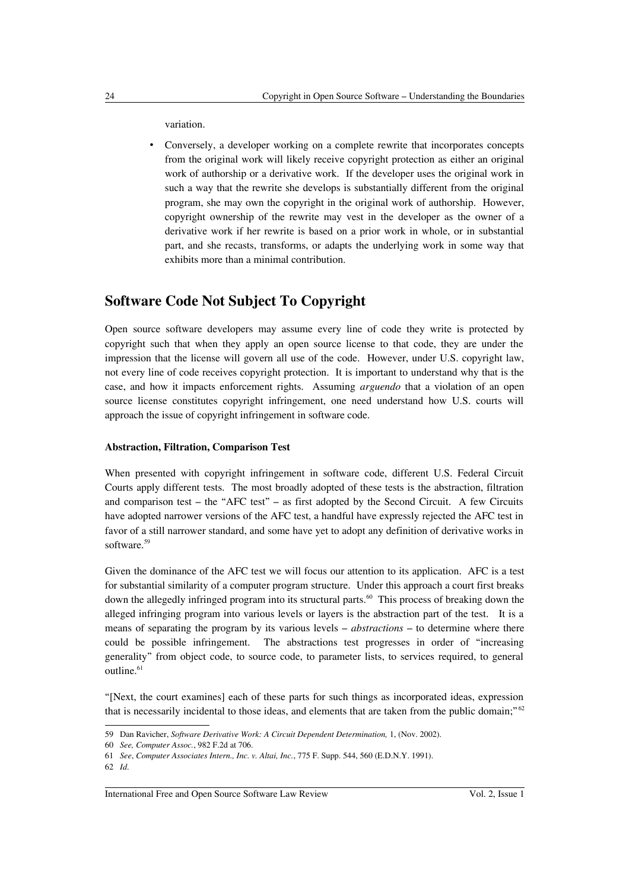variation.

• Conversely, a developer working on a complete rewrite that incorporates concepts from the original work will likely receive copyright protection as either an original work of authorship or a derivative work. If the developer uses the original work in such a way that the rewrite she develops is substantially different from the original program, she may own the copyright in the original work of authorship. However, copyright ownership of the rewrite may vest in the developer as the owner of a derivative work if her rewrite is based on a prior work in whole, or in substantial part, and she recasts, transforms, or adapts the underlying work in some way that exhibits more than a minimal contribution.

# **Software Code Not Subject To Copyright**

Open source software developers may assume every line of code they write is protected by copyright such that when they apply an open source license to that code, they are under the impression that the license will govern all use of the code. However, under U.S. copyright law, not every line of code receives copyright protection. It is important to understand why that is the case, and how it impacts enforcement rights. Assuming *arguendo* that a violation of an open source license constitutes copyright infringement, one need understand how U.S. courts will approach the issue of copyright infringement in software code.

### **Abstraction, Filtration, Comparison Test**

When presented with copyright infringement in software code, different U.S. Federal Circuit Courts apply different tests. The most broadly adopted of these tests is the abstraction, filtration and comparison test – the "AFC test" – as first adopted by the Second Circuit. A few Circuits have adopted narrower versions of the AFC test, a handful have expressly rejected the AFC test in favor of a still narrower standard, and some have yet to adopt any definition of derivative works in software.<sup>[59](#page-11-0)</sup>

Given the dominance of the AFC test we will focus our attention to its application. AFC is a test for substantial similarity of a computer program structure. Under this approach a court first breaks down the allegedly infringed program into its structural parts.<sup>[60](#page-11-1)</sup> This process of breaking down the alleged infringing program into various levels or layers is the abstraction part of the test. It is a means of separating the program by its various levels – *abstractions* – to determine where there could be possible infringement. The abstractions test progresses in order of "increasing generality" from object code, to source code, to parameter lists, to services required, to general outline.<sup>[61](#page-11-2)</sup>

"[Next, the court examines] each of these parts for such things as incorporated ideas, expression that is necessarily incidental to those ideas, and elements that are taken from the public domain;" [62](#page-11-3)

<span id="page-11-0"></span><sup>59</sup> Dan Ravicher, *Software Derivative Work: A Circuit Dependent Determination,* 1, (Nov. 2002).

<span id="page-11-1"></span><sup>60</sup> *See, Computer Assoc.*, 982 F.2d at 706.

<span id="page-11-2"></span><sup>61</sup> *See*, *Computer Associates Intern., Inc. v. Altai, Inc.*, 775 F. Supp. 544, 560 (E.D.N.Y. 1991).

<span id="page-11-3"></span><sup>62</sup> *Id*.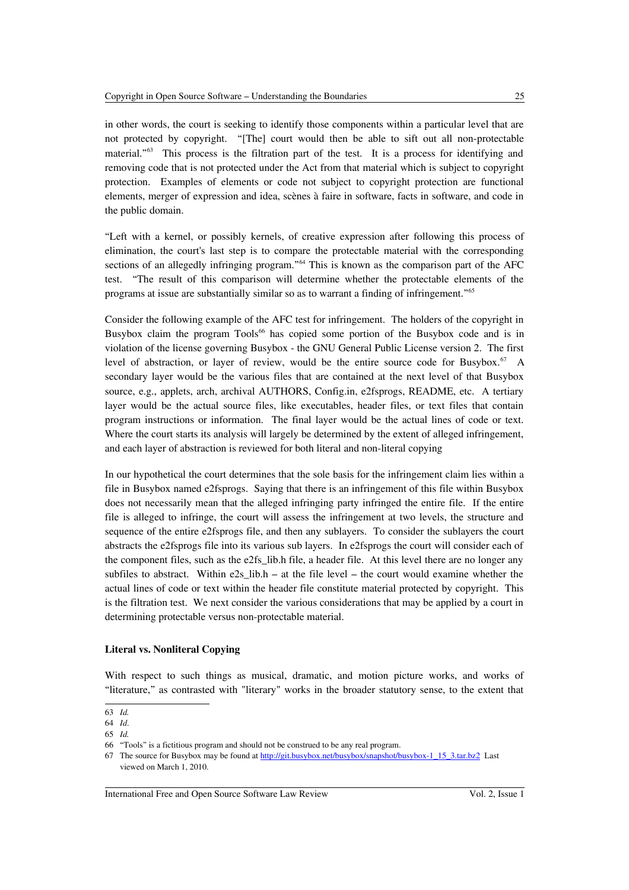in other words, the court is seeking to identify those components within a particular level that are not protected by copyright. "[The] court would then be able to sift out all non-protectable material."[63](#page-12-0) This process is the filtration part of the test. It is a process for identifying and removing code that is not protected under the Act from that material which is subject to copyright protection. Examples of elements or code not subject to copyright protection are functional elements, merger of expression and idea, scènes à faire in software, facts in software, and code in the public domain.

"Left with a kernel, or possibly kernels, of creative expression after following this process of elimination, the court's last step is to compare the protectable material with the corresponding sections of an allegedly infringing program."<sup>[64](#page-12-1)</sup> This is known as the comparison part of the AFC test. "The result of this comparison will determine whether the protectable elements of the programs at issue are substantially similar so as to warrant a finding of infringement."[65](#page-12-2)

Consider the following example of the AFC test for infringement. The holders of the copyright in Busybox claim the program Tools<sup>[66](#page-12-3)</sup> has copied some portion of the Busybox code and is in violation of the license governing Busybox - the GNU General Public License version 2. The first level of abstraction, or layer of review, would be the entire source code for Busybox.<sup>[67](#page-12-4)</sup> A secondary layer would be the various files that are contained at the next level of that Busybox source, e.g., applets, arch, archival AUTHORS, Config.in, e2fsprogs, README, etc. A tertiary layer would be the actual source files, like executables, header files, or text files that contain program instructions or information. The final layer would be the actual lines of code or text. Where the court starts its analysis will largely be determined by the extent of alleged infringement, and each layer of abstraction is reviewed for both literal and non-literal copying

In our hypothetical the court determines that the sole basis for the infringement claim lies within a file in Busybox named e2fsprogs. Saying that there is an infringement of this file within Busybox does not necessarily mean that the alleged infringing party infringed the entire file. If the entire file is alleged to infringe, the court will assess the infringement at two levels, the structure and sequence of the entire e2fsprogs file, and then any sublayers. To consider the sublayers the court abstracts the e2fsprogs file into its various sub layers. In e2fsprogs the court will consider each of the component files, such as the e2fs\_lib.h file, a header file. At this level there are no longer any subfiles to abstract. Within  $e2s$  lib.h – at the file level – the court would examine whether the actual lines of code or text within the header file constitute material protected by copyright. This is the filtration test. We next consider the various considerations that may be applied by a court in determining protectable versus non-protectable material.

### **Literal vs. Nonliteral Copying**

With respect to such things as musical, dramatic, and motion picture works, and works of "literature," as contrasted with "literary" works in the broader statutory sense, to the extent that

<span id="page-12-0"></span><sup>63</sup> *Id.*

<span id="page-12-1"></span><sup>64</sup> *Id*.

<span id="page-12-2"></span><sup>65</sup> *Id.*

<span id="page-12-3"></span><sup>66</sup> "Tools" is a fictitious program and should not be construed to be any real program.

<span id="page-12-4"></span><sup>67</sup> The source for Busybox may be found at http://git.busybox.net/busybox/snapshot/busybox-1\_15\_3.tar.bz2 Last viewed on March 1, 2010.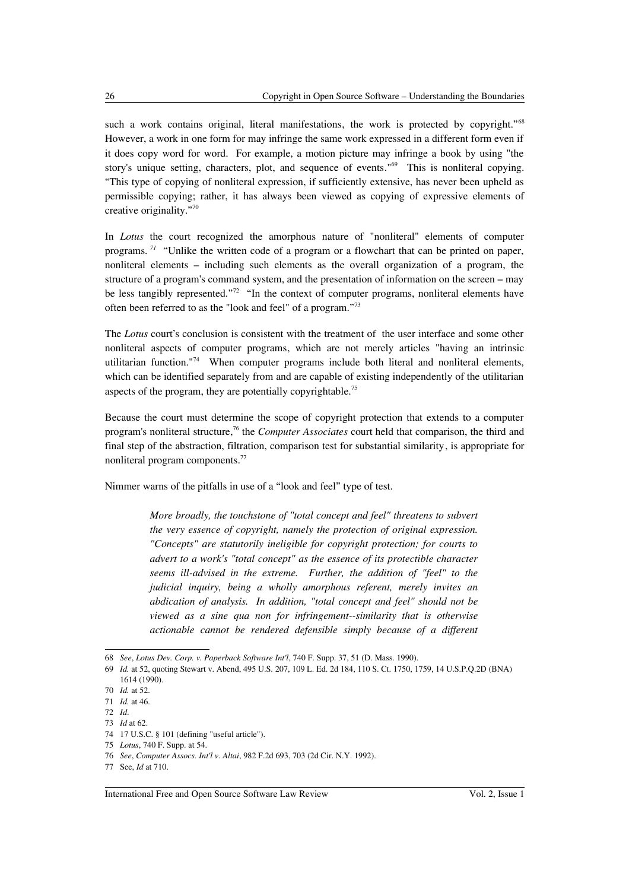such a work contains original, literal manifestations, the work is protected by copyright."<sup>[68](#page-13-0)</sup> However, a work in one form for may infringe the same work expressed in a different form even if it does copy word for word. For example, a motion picture may infringe a book by using "the story's unique setting, characters, plot, and sequence of events."<sup>[69](#page-13-1)</sup> This is nonliteral copying. "This type of copying of nonliteral expression, if sufficiently extensive, has never been upheld as permissible copying; rather, it has always been viewed as copying of expressive elements of creative originality."[70](#page-13-2)

In *Lotus* the court recognized the amorphous nature of "nonliteral" elements of computer programs. *[71](#page-13-3)* "Unlike the written code of a program or a flowchart that can be printed on paper, nonliteral elements – including such elements as the overall organization of a program, the structure of a program's command system, and the presentation of information on the screen – may be less tangibly represented."<sup>[72](#page-13-4)</sup> "In the context of computer programs, nonliteral elements have often been referred to as the "look and feel" of a program."[73](#page-13-5)

The *Lotus* court's conclusion is consistent with the treatment of the user interface and some other nonliteral aspects of computer programs, which are not merely articles "having an intrinsic utilitarian function."[74](#page-13-6) When computer programs include both literal and nonliteral elements, which can be identified separately from and are capable of existing independently of the utilitarian aspects of the program, they are potentially copyrightable.<sup>[75](#page-13-7)</sup>

Because the court must determine the scope of copyright protection that extends to a computer program's nonliteral structure, [76](#page-13-8) the *Computer Associates* court held that comparison, the third and final step of the abstraction, filtration, comparison test for substantial similarity, is appropriate for nonliteral program components.<sup>[77](#page-13-9)</sup>

Nimmer warns of the pitfalls in use of a "look and feel" type of test.

*More broadly, the touchstone of "total concept and feel" threatens to subvert the very essence of copyright, namely the protection of original expression. "Concepts" are statutorily ineligible for copyright protection; for courts to advert to a work's "total concept" as the essence of its protectible character seems ill-advised in the extreme. Further, the addition of "feel" to the judicial inquiry, being a wholly amorphous referent, merely invites an abdication of analysis. In addition, "total concept and feel" should not be viewed as a sine qua non for infringement--similarity that is otherwise actionable cannot be rendered defensible simply because of a different*

<span id="page-13-0"></span><sup>68</sup> *See*, *Lotus Dev. Corp. v. Paperback Software Int'l*, 740 F. Supp. 37, 51 (D. Mass. 1990).

<span id="page-13-1"></span><sup>69</sup> *Id.* at 52, quoting Stewart v. Abend, 495 U.S. 207, 109 L. Ed. 2d 184, 110 S. Ct. 1750, 1759, 14 U.S.P.Q.2D (BNA) 1614 (1990).

<span id="page-13-2"></span><sup>70</sup> *Id.* at 52.

<span id="page-13-3"></span><sup>71</sup> *Id.* at 46.

<span id="page-13-4"></span><sup>72</sup> *Id*.

<span id="page-13-5"></span><sup>73</sup> *Id* at 62.

<span id="page-13-6"></span><sup>74</sup> 17 U.S.C. § 101 (defining "useful article").

<span id="page-13-7"></span><sup>75</sup> *Lotus*, 740 F. Supp. at 54.

<span id="page-13-8"></span><sup>76</sup> *See*, *Computer Assocs. Int'l v. Altai*, 982 F.2d 693, 703 (2d Cir. N.Y. 1992).

<span id="page-13-9"></span><sup>77</sup> See, *Id* at 710.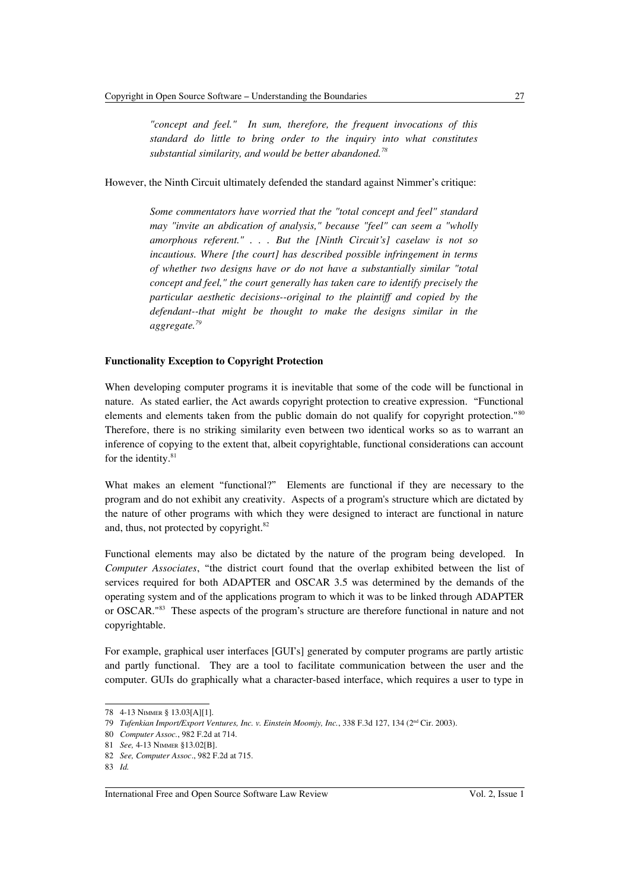*"concept and feel." In sum, therefore, the frequent invocations of this standard do little to bring order to the inquiry into what constitutes substantial similarity, and would be better abandoned.[78](#page-14-0)*

However, the Ninth Circuit ultimately defended the standard against Nimmer's critique:

*Some commentators have worried that the "total concept and feel" standard may "invite an abdication of analysis," because "feel" can seem a "wholly amorphous referent." . . . But the [Ninth Circuit's] caselaw is not so incautious. Where [the court] has described possible infringement in terms of whether two designs have or do not have a substantially similar "total concept and feel," the court generally has taken care to identify precisely the particular aesthetic decisions--original to the plaintiff and copied by the defendant--that might be thought to make the designs similar in the aggregate.[79](#page-14-1)*

### **Functionality Exception to Copyright Protection**

When developing computer programs it is inevitable that some of the code will be functional in nature. As stated earlier, the Act awards copyright protection to creative expression. "Functional elements and elements taken from the public domain do not qualify for copyright protection."[80](#page-14-2) Therefore, there is no striking similarity even between two identical works so as to warrant an inference of copying to the extent that, albeit copyrightable, functional considerations can account for the identity.<sup>[81](#page-14-3)</sup>

What makes an element "functional?" Elements are functional if they are necessary to the program and do not exhibit any creativity. Aspects of a program's structure which are dictated by the nature of other programs with which they were designed to interact are functional in nature and, thus, not protected by copyright.<sup>[82](#page-14-4)</sup>

Functional elements may also be dictated by the nature of the program being developed. In *Computer Associates*, "the district court found that the overlap exhibited between the list of services required for both ADAPTER and OSCAR 3.5 was determined by the demands of the operating system and of the applications program to which it was to be linked through ADAPTER or OSCAR."[83](#page-14-5) These aspects of the program's structure are therefore functional in nature and not copyrightable.

For example, graphical user interfaces [GUI's] generated by computer programs are partly artistic and partly functional. They are a tool to facilitate communication between the user and the computer. GUIs do graphically what a character-based interface, which requires a user to type in

<span id="page-14-0"></span><sup>78</sup> 4-13 NIMMER § 13.03[A][1].

<span id="page-14-1"></span><sup>79</sup> *Tufenkian Import/Export Ventures, Inc. v. Einstein Moomjy, Inc.*, 338 F.3d 127, 134 (2nd Cir. 2003).

<span id="page-14-2"></span><sup>80</sup> *Computer Assoc.*, 982 F.2d at 714.

<span id="page-14-3"></span><sup>81</sup> *See,* 4-13 NIMMER §13.02[B].

<span id="page-14-4"></span><sup>82</sup> *See, Computer Assoc*., 982 F.2d at 715.

<span id="page-14-5"></span><sup>83</sup> *Id.*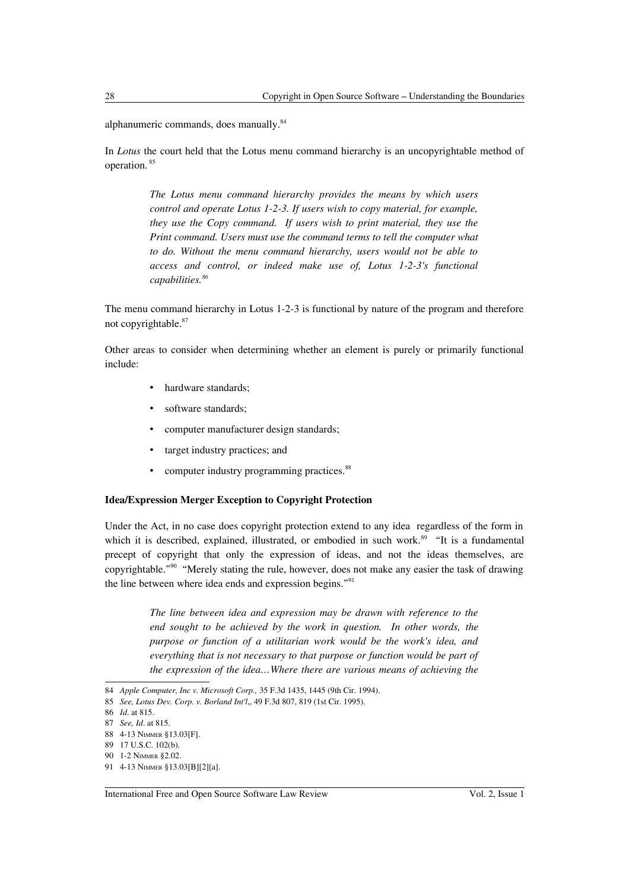alphanumeric commands, does manually.<sup>[84](#page-15-0)</sup>

In *Lotus* the court held that the Lotus menu command hierarchy is an uncopyrightable method of operation. [85](#page-15-1)

> *The Lotus menu command hierarchy provides the means by which users control and operate Lotus 1-2-3. If users wish to copy material, for example, they use the Copy command. If users wish to print material, they use the Print command. Users must use the command terms to tell the computer what to do. Without the menu command hierarchy, users would not be able to access and control, or indeed make use of, Lotus 1-2-3's functional capabilities.[86](#page-15-2)*

The menu command hierarchy in Lotus 1-2-3 is functional by nature of the program and therefore not copyrightable.[87](#page-15-3)

Other areas to consider when determining whether an element is purely or primarily functional include:

- hardware standards;
- software standards;
- computer manufacturer design standards;
- target industry practices; and
- computer industry programming practices.<sup>[88](#page-15-4)</sup>

# **Idea/Expression Merger Exception to Copyright Protection**

Under the Act, in no case does copyright protection extend to any idea regardless of the form in which it is described, explained, illustrated, or embodied in such work.<sup>[89](#page-15-5)</sup> "It is a fundamental precept of copyright that only the expression of ideas, and not the ideas themselves, are copyrightable."[90](#page-15-6) "Merely stating the rule, however, does not make any easier the task of drawing the line between where idea ends and expression begins."[91](#page-15-7)

> *The line between idea and expression may be drawn with reference to the end sought to be achieved by the work in question. In other words, the purpose or function of a utilitarian work would be the work's idea, and everything that is not necessary to that purpose or function would be part of the expression of the idea…Where there are various means of achieving the*

<span id="page-15-0"></span><sup>84</sup> *Apple Computer, Inc v. Microsoft Corp.,* 35 F.3d 1435, 1445 (9th Cir. 1994).

<span id="page-15-1"></span><sup>85</sup> *See, Lotus Dev. Corp. v. Borland Int'l*,, 49 F.3d 807, 819 (1st Cir. 1995).

<span id="page-15-2"></span><sup>86</sup> *Id*. at 815.

<span id="page-15-3"></span><sup>87</sup> *See, Id*. at 815.

<span id="page-15-4"></span><sup>88</sup> 4-13 NIMMER §13.03[F].

<span id="page-15-5"></span><sup>89</sup> 17 U.S.C. 102(b).

<span id="page-15-6"></span><sup>90</sup> 1-2 NIMMER §2.02.

<span id="page-15-7"></span><sup>91</sup> 4-13 NIMMER §13.03[B][2][a].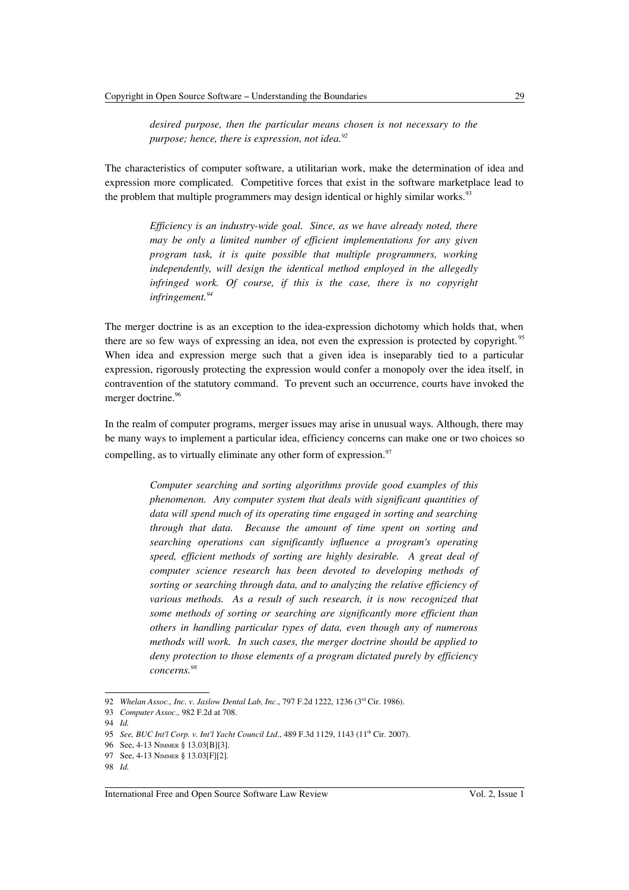*desired purpose, then the particular means chosen is not necessary to the purpose; hence, there is expression, not idea.[92](#page-16-0)*

The characteristics of computer software, a utilitarian work, make the determination of idea and expression more complicated. Competitive forces that exist in the software marketplace lead to the problem that multiple programmers may design identical or highly similar works.<sup>[93](#page-16-1)</sup>

> *Efficiency is an industry-wide goal. Since, as we have already noted, there may be only a limited number of efficient implementations for any given program task, it is quite possible that multiple programmers, working independently, will design the identical method employed in the allegedly infringed work. Of course, if this is the case, there is no copyright infringement.[94](#page-16-2)*

The merger doctrine is as an exception to the idea-expression dichotomy which holds that, when there are so few ways of expressing an idea, not even the expression is protected by copyright.<sup>[95](#page-16-3)</sup> When idea and expression merge such that a given idea is inseparably tied to a particular expression, rigorously protecting the expression would confer a monopoly over the idea itself, in contravention of the statutory command. To prevent such an occurrence, courts have invoked the merger doctrine.<sup>[96](#page-16-4)</sup>

In the realm of computer programs, merger issues may arise in unusual ways. Although, there may be many ways to implement a particular idea, efficiency concerns can make one or two choices so compelling, as to virtually eliminate any other form of expression.<sup>[97](#page-16-5)</sup>

> *Computer searching and sorting algorithms provide good examples of this phenomenon. Any computer system that deals with significant quantities of data will spend much of its operating time engaged in sorting and searching through that data. Because the amount of time spent on sorting and searching operations can significantly influence a program's operating speed, efficient methods of sorting are highly desirable. A great deal of computer science research has been devoted to developing methods of sorting or searching through data, and to analyzing the relative efficiency of various methods. As a result of such research, it is now recognized that some methods of sorting or searching are significantly more efficient than others in handling particular types of data, even though any of numerous methods will work. In such cases, the merger doctrine should be applied to deny protection to those elements of a program dictated purely by efficiency concerns.[98](#page-16-6)*

<span id="page-16-0"></span><sup>92</sup> *Whelan Assoc., Inc. v. Jaslow Dental Lab, Inc*., 797 F.2d 1222, 1236 (3rd Cir. 1986).

<span id="page-16-1"></span><sup>93</sup> *Computer Assoc.,* 982 F.2d at 708.

<span id="page-16-2"></span><sup>94</sup> *Id.*

<span id="page-16-3"></span><sup>95</sup> *See, BUC Int'l Corp. v. Int'l Yacht Council Ltd.*, 489 F.3d 1129, 1143 (11<sup>th</sup> Cir. 2007).

<span id="page-16-4"></span><sup>96</sup> See, 4-13 NIMMER § 13.03[B][3].

<span id="page-16-5"></span><sup>97</sup> See, 4-13 NIMMER § 13.03[F][2].

<span id="page-16-6"></span><sup>98</sup> *Id.*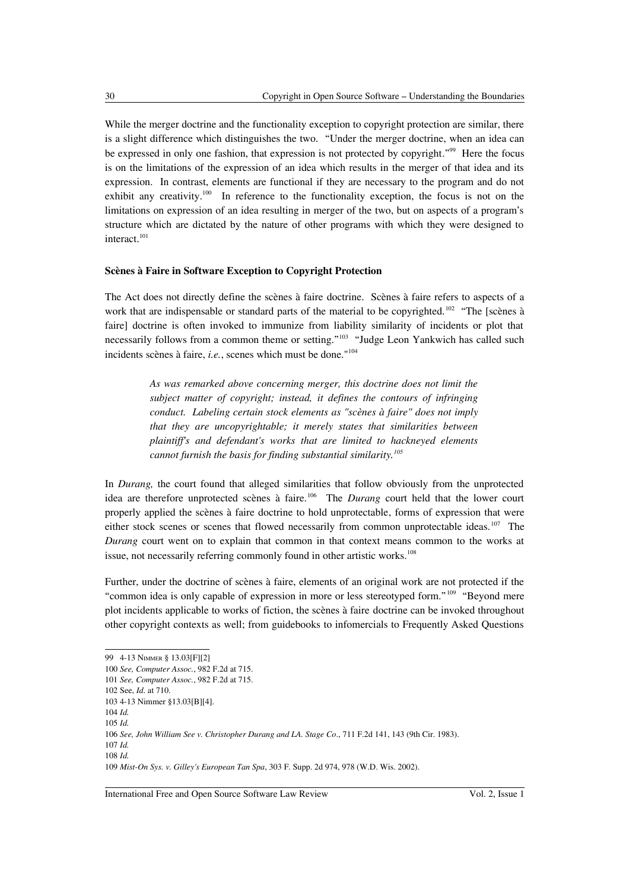While the merger doctrine and the functionality exception to copyright protection are similar, there is a slight difference which distinguishes the two. "Under the merger doctrine, when an idea can be expressed in only one fashion, that expression is not protected by copyright."<sup>[99](#page-17-0)</sup> Here the focus is on the limitations of the expression of an idea which results in the merger of that idea and its expression. In contrast, elements are functional if they are necessary to the program and do not exhibit any creativity.<sup>[100](#page-17-1)</sup> In reference to the functionality exception, the focus is not on the limitations on expression of an idea resulting in merger of the two, but on aspects of a program's structure which are dictated by the nature of other programs with which they were designed to interact.<sup>[101](#page-17-2)</sup>

# **Scènes à Faire in Software Exception to Copyright Protection**

The Act does not directly define the scènes à faire doctrine. Scènes à faire refers to aspects of a work that are indispensable or standard parts of the material to be copyrighted.<sup>[102](#page-17-3)</sup> "The [scènes à faire] doctrine is often invoked to immunize from liability similarity of incidents or plot that necessarily follows from a common theme or setting."<sup>[103](#page-17-4)</sup> "Judge Leon Yankwich has called such incidents scènes à faire, *i.e.*, scenes which must be done."[104](#page-17-5)

> *As was remarked above concerning merger, this doctrine does not limit the subject matter of copyright; instead, it defines the contours of infringing conduct. Labeling certain stock elements as "scènes à faire" does not imply that they are uncopyrightable; it merely states that similarities between plaintiff's and defendant's works that are limited to hackneyed elements cannot furnish the basis for finding substantial similarity.[105](#page-17-6)*

In *Durang,* the court found that alleged similarities that follow obviously from the unprotected idea are therefore unprotected scènes à faire.[106](#page-17-7) The *Durang* court held that the lower court properly applied the scènes à faire doctrine to hold unprotectable, forms of expression that were either stock scenes or scenes that flowed necessarily from common unprotectable ideas.<sup>[107](#page-17-8)</sup> The *Durang* court went on to explain that common in that context means common to the works at issue, not necessarily referring commonly found in other artistic works.<sup>[108](#page-17-9)</sup>

Further, under the doctrine of scènes à faire, elements of an original work are not protected if the "common idea is only capable of expression in more or less stereotyped form." [109](#page-17-10) "Beyond mere plot incidents applicable to works of fiction, the scènes à faire doctrine can be invoked throughout other copyright contexts as well; from guidebooks to infomercials to Frequently Asked Questions

<span id="page-17-6"></span><span id="page-17-5"></span>104 *Id.* 105 *Id.*

<span id="page-17-0"></span><sup>99</sup> 4-13 NIMMER § 13.03[F][2]

<span id="page-17-1"></span><sup>100</sup> *See, Computer Assoc.*, 982 F.2d at 715.

<span id="page-17-2"></span><sup>101</sup> *See, Computer Assoc.*, 982 F.2d at 715.

<span id="page-17-3"></span><sup>102</sup> See, *Id*. at 710.

<span id="page-17-4"></span><sup>103</sup> 4-13 Nimmer §13.03[B][4].

<span id="page-17-7"></span><sup>106</sup> *See, John William See v. Christopher Durang and LA. Stage Co*., 711 F.2d 141, 143 (9th Cir. 1983). 107 *Id.*

<span id="page-17-9"></span><span id="page-17-8"></span><sup>108</sup> *Id.*

<span id="page-17-10"></span><sup>109</sup> *Mist-On Sys. v. Gilley's European Tan Spa*, 303 F. Supp. 2d 974, 978 (W.D. Wis. 2002).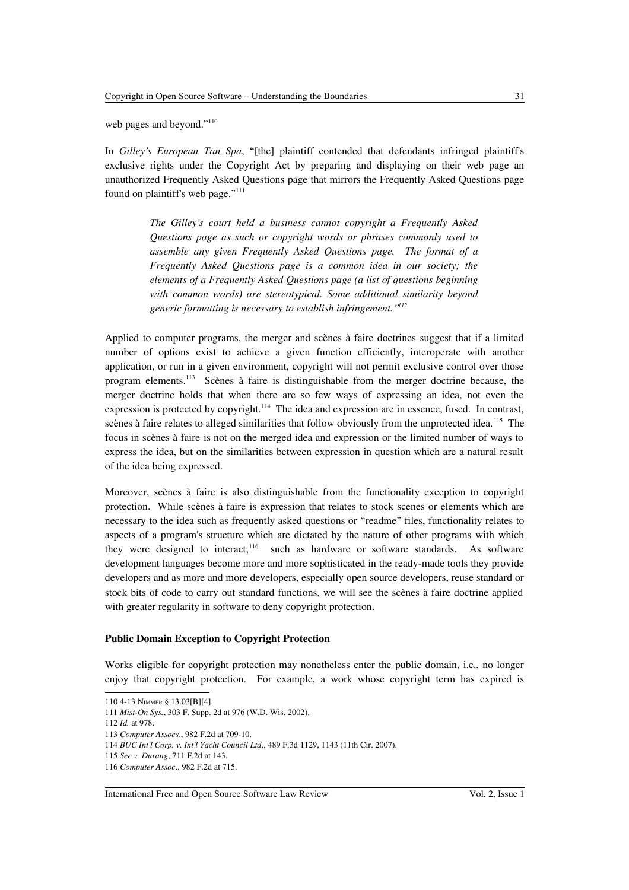web pages and beyond."<sup>[110](#page-18-0)</sup>

In *Gilley's European Tan Spa*, "[the] plaintiff contended that defendants infringed plaintiff's exclusive rights under the Copyright Act by preparing and displaying on their web page an unauthorized Frequently Asked Questions page that mirrors the Frequently Asked Questions page found on plaintiff's web page."<sup>[111](#page-18-1)</sup>

> *The Gilley's court held a business cannot copyright a Frequently Asked Questions page as such or copyright words or phrases commonly used to assemble any given Frequently Asked Questions page. The format of a Frequently Asked Questions page is a common idea in our society; the elements of a Frequently Asked Questions page (a list of questions beginning with common words) are stereotypical. Some additional similarity beyond generic formatting is necessary to establish infringement."[112](#page-18-2)*

Applied to computer programs, the merger and scènes à faire doctrines suggest that if a limited number of options exist to achieve a given function efficiently, interoperate with another application, or run in a given environment, copyright will not permit exclusive control over those program elements.[113](#page-18-3) Scènes à faire is distinguishable from the merger doctrine because, the merger doctrine holds that when there are so few ways of expressing an idea, not even the expression is protected by copyright.<sup>[114](#page-18-4)</sup> The idea and expression are in essence, fused. In contrast, scènes à faire relates to alleged similarities that follow obviously from the unprotected idea.<sup>[115](#page-18-5)</sup> The focus in scènes à faire is not on the merged idea and expression or the limited number of ways to express the idea, but on the similarities between expression in question which are a natural result of the idea being expressed.

Moreover, scènes à faire is also distinguishable from the functionality exception to copyright protection. While scènes à faire is expression that relates to stock scenes or elements which are necessary to the idea such as frequently asked questions or "readme" files, functionality relates to aspects of a program's structure which are dictated by the nature of other programs with which they were designed to interact,<sup>[116](#page-18-6)</sup> such as hardware or software standards. As software development languages become more and more sophisticated in the ready-made tools they provide developers and as more and more developers, especially open source developers, reuse standard or stock bits of code to carry out standard functions, we will see the scènes à faire doctrine applied with greater regularity in software to deny copyright protection.

#### **Public Domain Exception to Copyright Protection**

Works eligible for copyright protection may nonetheless enter the public domain, i.e., no longer enjoy that copyright protection. For example, a work whose copyright term has expired is

#### International Free and Open Source Software Law Review Vol. 2, Issue 1

<span id="page-18-0"></span><sup>110</sup> 4-13 NIMMER § 13.03[B][4].

<span id="page-18-1"></span><sup>111</sup> *Mist-On Sys.*, 303 F. Supp. 2d at 976 (W.D. Wis. 2002).

<span id="page-18-2"></span><sup>112</sup> *Id.* at 978.

<span id="page-18-3"></span><sup>113</sup> *Computer Assocs*., 982 F.2d at 709-10.

<span id="page-18-4"></span><sup>114</sup> *BUC Int'l Corp. v. Int'l Yacht Council Ltd*., 489 F.3d 1129, 1143 (11th Cir. 2007).

<span id="page-18-5"></span><sup>115</sup> *See v. Durang*, 711 F.2d at 143.

<span id="page-18-6"></span><sup>116</sup> *Computer Assoc*., 982 F.2d at 715.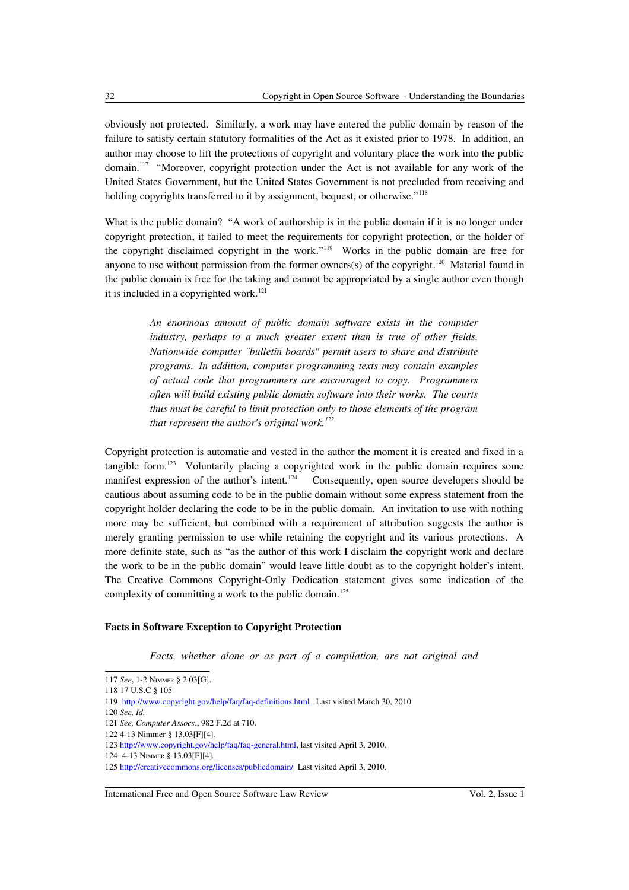obviously not protected. Similarly, a work may have entered the public domain by reason of the failure to satisfy certain statutory formalities of the Act as it existed prior to 1978. In addition, an author may choose to lift the protections of copyright and voluntary place the work into the public domain.<sup>[117](#page-19-0)</sup> "Moreover, copyright protection under the Act is not available for any work of the United States Government, but the United States Government is not precluded from receiving and holding copyrights transferred to it by assignment, bequest, or otherwise."<sup>[118](#page-19-1)</sup>

What is the public domain? "A work of authorship is in the public domain if it is no longer under copyright protection, it failed to meet the requirements for copyright protection, or the holder of the copyright disclaimed copyright in the work."<sup>[119](#page-19-2)</sup> Works in the public domain are free for anyone to use without permission from the former owners(s) of the copyright.<sup>[120](#page-19-3)</sup> Material found in the public domain is free for the taking and cannot be appropriated by a single author even though it is included in a copyrighted work.<sup>[121](#page-19-4)</sup>

> *An enormous amount of public domain software exists in the computer industry, perhaps to a much greater extent than is true of other fields. Nationwide computer "bulletin boards" permit users to share and distribute programs. In addition, computer programming texts may contain examples of actual code that programmers are encouraged to copy. Programmers often will build existing public domain software into their works. The courts thus must be careful to limit protection only to those elements of the program that represent the author's original work.[122](#page-19-5)*

Copyright protection is automatic and vested in the author the moment it is created and fixed in a tangible form.<sup>[123](#page-19-6)</sup> Voluntarily placing a copyrighted work in the public domain requires some manifest expression of the author's intent.<sup>[124](#page-19-7)</sup> Consequently, open source developers should be cautious about assuming code to be in the public domain without some express statement from the copyright holder declaring the code to be in the public domain. An invitation to use with nothing more may be sufficient, but combined with a requirement of attribution suggests the author is merely granting permission to use while retaining the copyright and its various protections. A more definite state, such as "as the author of this work I disclaim the copyright work and declare the work to be in the public domain" would leave little doubt as to the copyright holder's intent. The Creative Commons Copyright-Only Dedication statement gives some indication of the complexity of committing a work to the public domain.<sup>[125](#page-19-8)</sup>

### **Facts in Software Exception to Copyright Protection**

*Facts, whether alone or as part of a compilation, are not original and*

<span id="page-19-3"></span>120 *See, Id.*

#### International Free and Open Source Software Law Review Vol. 2, Issue 1

<span id="page-19-0"></span><sup>117</sup> *See*, 1-2 NIMMER § 2.03[G].

<span id="page-19-1"></span><sup>118</sup> 17 U.S.C § 105

<span id="page-19-2"></span><sup>119</sup> <http://www.copyright.gov/help/faq/faq-definitions.html>Last visited March 30, 2010.

<span id="page-19-4"></span><sup>121</sup> *See, Computer Assocs*., 982 F.2d at 710.

<span id="page-19-5"></span><sup>122</sup> 4-13 Nimmer § 13.03[F][4]*.*

<span id="page-19-6"></span><sup>123</sup> [http://www.copyright.gov/help/faq/faq-general.html,](http://www.copyright.gov/help/faq/faq-general.html) last visited April 3, 2010.

<span id="page-19-7"></span><sup>124</sup> 4-13 NIMMER § 13.03[F][4]*.*

<span id="page-19-8"></span><sup>125</sup><http://creativecommons.org/licenses/publicdomain/>Last visited April 3, 2010.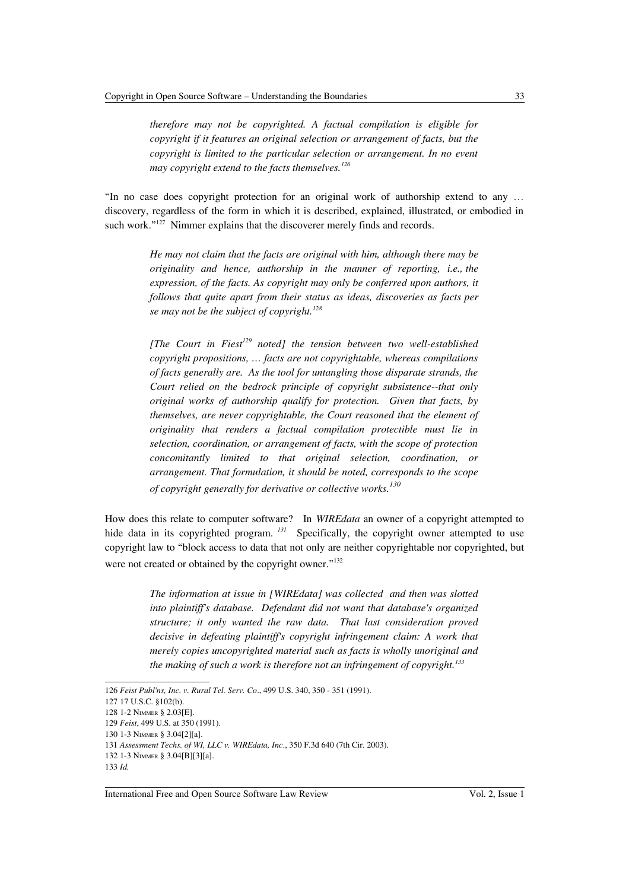*therefore may not be copyrighted. A factual compilation is eligible for copyright if it features an original selection or arrangement of facts, but the copyright is limited to the particular selection or arrangement. In no event may copyright extend to the facts themselves.[126](#page-20-0)*

"In no case does copyright protection for an original work of authorship extend to any … discovery, regardless of the form in which it is described, explained, illustrated, or embodied in such work."<sup>[127](#page-20-1)</sup> Nimmer explains that the discoverer merely finds and records.

> *He may not claim that the facts are original with him, although there may be originality and hence, authorship in the manner of reporting, i.e., the expression, of the facts. As copyright may only be conferred upon authors, it follows that quite apart from their status as ideas, discoveries as facts per se may not be the subject of copyright.[128](#page-20-2)*

> *[The Court in Fiest[129](#page-20-3) noted] the tension between two well-established copyright propositions, … facts are not copyrightable, whereas compilations of facts generally are. As the tool for untangling those disparate strands, the Court relied on the bedrock principle of copyright subsistence--that only original works of authorship qualify for protection. Given that facts, by themselves, are never copyrightable, the Court reasoned that the element of originality that renders a factual compilation protectible must lie in selection, coordination, or arrangement of facts, with the scope of protection concomitantly limited to that original selection, coordination, or arrangement. That formulation, it should be noted, corresponds to the scope of copyright generally for derivative or collective works.[130](#page-20-4)*

How does this relate to computer software? In *WIREdata* an owner of a copyright attempted to hide data in its copyrighted program. <sup>[131](#page-20-5)</sup> Specifically, the copyright owner attempted to use copyright law to "block access to data that not only are neither copyrightable nor copyrighted, but were not created or obtained by the copyright owner."<sup>[132](#page-20-6)</sup>

> *The information at issue in [WIREdata] was collected and then was slotted into plaintiff's database. Defendant did not want that database's organized structure; it only wanted the raw data. That last consideration proved decisive in defeating plaintiff's copyright infringement claim: A work that merely copies uncopyrighted material such as facts is wholly unoriginal and the making of such a work is therefore not an infringement of copyright.[133](#page-20-7)*

<span id="page-20-0"></span><sup>126</sup> *Feist Publ'ns, Inc. v. Rural Tel. Serv. Co*., 499 U.S. 340, 350 - 351 (1991).

<span id="page-20-1"></span><sup>127</sup> 17 U.S.C. §102(b).

<span id="page-20-2"></span><sup>128</sup> 1-2 NIMMER § 2.03[E].

<span id="page-20-3"></span><sup>129</sup> *Feist*, 499 U.S. at 350 (1991).

<span id="page-20-4"></span><sup>130</sup> 1-3 NIMMER § 3.04[2][a].

<span id="page-20-5"></span><sup>131</sup> *Assessment Techs. of WI, LLC v. WIREdata, Inc*., 350 F.3d 640 (7th Cir. 2003).

<span id="page-20-6"></span><sup>132</sup> 1-3 NIMMER § 3.04[B][3][a].

<span id="page-20-7"></span><sup>133</sup> *Id.*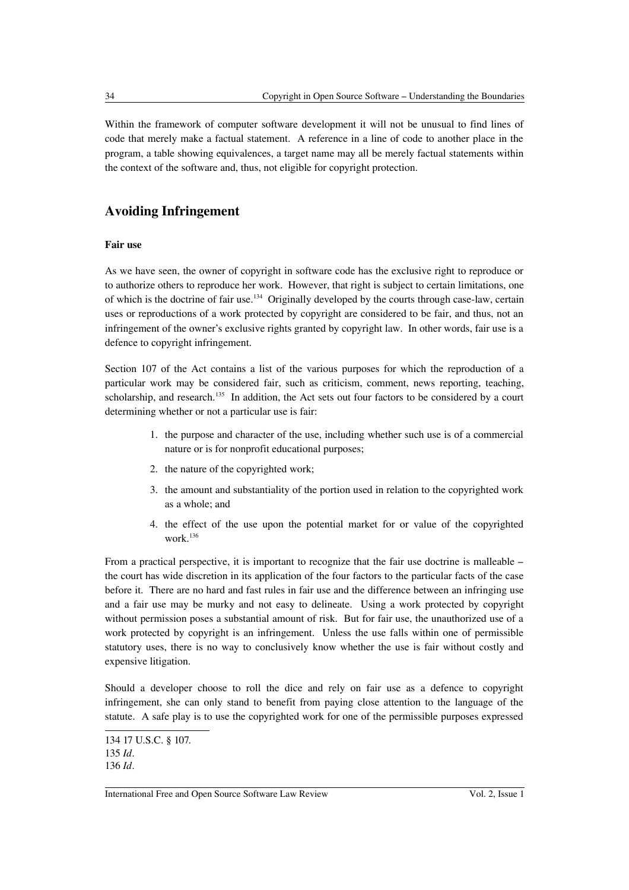Within the framework of computer software development it will not be unusual to find lines of code that merely make a factual statement. A reference in a line of code to another place in the program, a table showing equivalences, a target name may all be merely factual statements within the context of the software and, thus, not eligible for copyright protection.

# **Avoiding Infringement**

# **Fair use**

As we have seen, the owner of copyright in software code has the exclusive right to reproduce or to authorize others to reproduce her work. However, that right is subject to certain limitations, one of which is the doctrine of fair use.[134](#page-21-0) Originally developed by the courts through case-law, certain uses or reproductions of a work protected by copyright are considered to be fair, and thus, not an infringement of the owner's exclusive rights granted by copyright law. In other words, fair use is a defence to copyright infringement.

Section 107 of the Act contains a list of the various purposes for which the reproduction of a particular work may be considered fair, such as criticism, comment, news reporting, teaching, scholarship, and research.<sup>[135](#page-21-1)</sup> In addition, the Act sets out four factors to be considered by a court determining whether or not a particular use is fair:

- 1. the purpose and character of the use, including whether such use is of a commercial nature or is for nonprofit educational purposes;
- 2. the nature of the copyrighted work;
- 3. the amount and substantiality of the portion used in relation to the copyrighted work as a whole; and
- 4. the effect of the use upon the potential market for or value of the copyrighted work.[136](#page-21-2)

From a practical perspective, it is important to recognize that the fair use doctrine is malleable – the court has wide discretion in its application of the four factors to the particular facts of the case before it. There are no hard and fast rules in fair use and the difference between an infringing use and a fair use may be murky and not easy to delineate. Using a work protected by copyright without permission poses a substantial amount of risk. But for fair use, the unauthorized use of a work protected by copyright is an infringement. Unless the use falls within one of permissible statutory uses, there is no way to conclusively know whether the use is fair without costly and expensive litigation.

Should a developer choose to roll the dice and rely on fair use as a defence to copyright infringement, she can only stand to benefit from paying close attention to the language of the statute. A safe play is to use the copyrighted work for one of the permissible purposes expressed

<span id="page-21-2"></span><span id="page-21-1"></span><span id="page-21-0"></span><sup>134 17</sup> U.S.C. § 107. 135 *Id*. 136 *Id*.

International Free and Open Source Software Law Review Vol. 2, Issue 1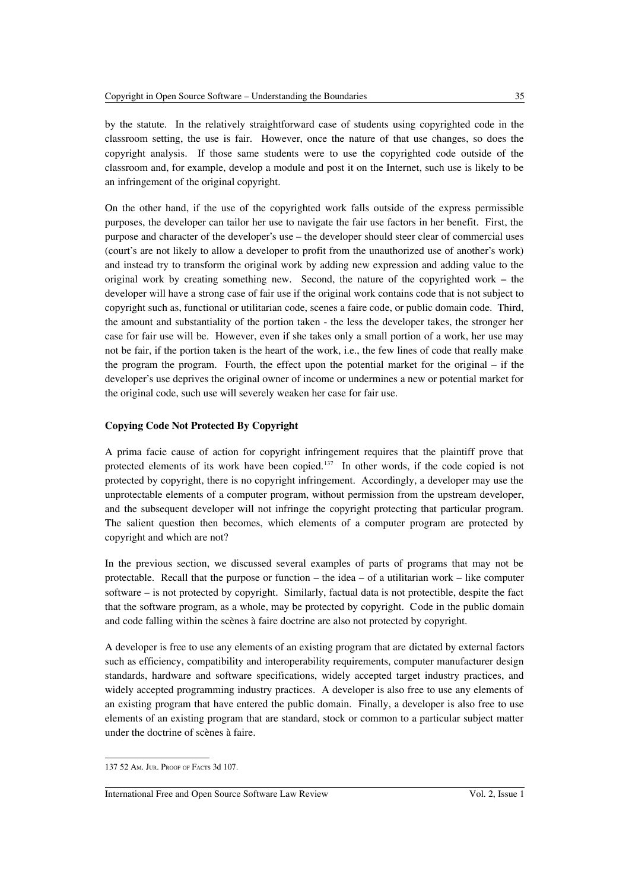by the statute. In the relatively straightforward case of students using copyrighted code in the classroom setting, the use is fair. However, once the nature of that use changes, so does the copyright analysis. If those same students were to use the copyrighted code outside of the classroom and, for example, develop a module and post it on the Internet, such use is likely to be an infringement of the original copyright.

On the other hand, if the use of the copyrighted work falls outside of the express permissible purposes, the developer can tailor her use to navigate the fair use factors in her benefit. First, the purpose and character of the developer's use – the developer should steer clear of commercial uses (court's are not likely to allow a developer to profit from the unauthorized use of another's work) and instead try to transform the original work by adding new expression and adding value to the original work by creating something new. Second, the nature of the copyrighted work – the developer will have a strong case of fair use if the original work contains code that is not subject to copyright such as, functional or utilitarian code, scenes a faire code, or public domain code. Third, the amount and substantiality of the portion taken - the less the developer takes, the stronger her case for fair use will be. However, even if she takes only a small portion of a work, her use may not be fair, if the portion taken is the heart of the work, i.e., the few lines of code that really make the program the program. Fourth, the effect upon the potential market for the original – if the developer's use deprives the original owner of income or undermines a new or potential market for the original code, such use will severely weaken her case for fair use.

# **Copying Code Not Protected By Copyright**

A prima facie cause of action for copyright infringement requires that the plaintiff prove that protected elements of its work have been copied. $137$  In other words, if the code copied is not protected by copyright, there is no copyright infringement. Accordingly, a developer may use the unprotectable elements of a computer program, without permission from the upstream developer, and the subsequent developer will not infringe the copyright protecting that particular program. The salient question then becomes, which elements of a computer program are protected by copyright and which are not?

In the previous section, we discussed several examples of parts of programs that may not be protectable. Recall that the purpose or function – the idea – of a utilitarian work – like computer software – is not protected by copyright. Similarly, factual data is not protectible, despite the fact that the software program, as a whole, may be protected by copyright. Code in the public domain and code falling within the scènes à faire doctrine are also not protected by copyright.

A developer is free to use any elements of an existing program that are dictated by external factors such as efficiency, compatibility and interoperability requirements, computer manufacturer design standards, hardware and software specifications, widely accepted target industry practices, and widely accepted programming industry practices. A developer is also free to use any elements of an existing program that have entered the public domain. Finally, a developer is also free to use elements of an existing program that are standard, stock or common to a particular subject matter under the doctrine of scènes à faire.

<span id="page-22-0"></span><sup>137</sup> 52 AM. JUR. PROOF OF FACTS 3d 107.

International Free and Open Source Software Law Review Vol. 2, Issue 1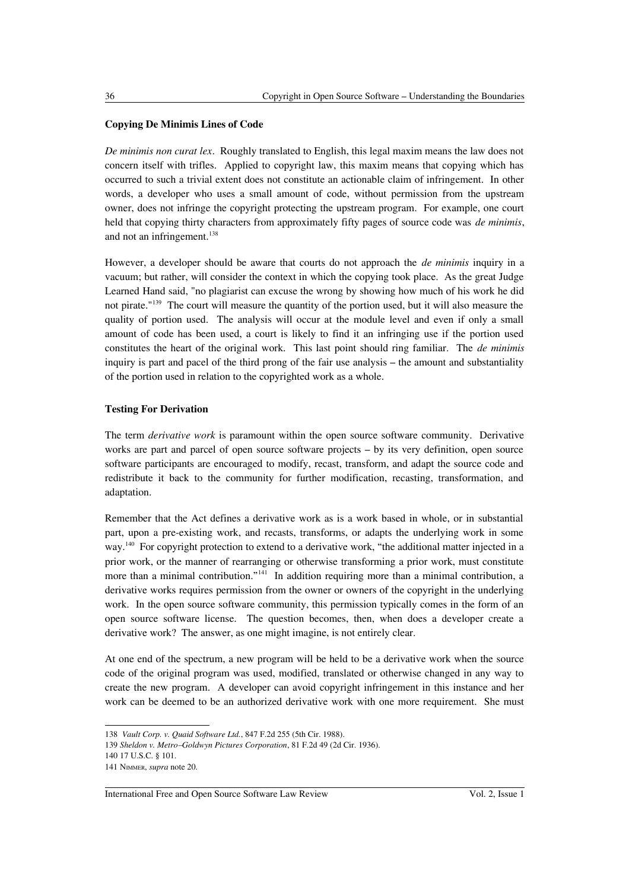# **Copying De Minimis Lines of Code**

*De minimis non curat lex*. Roughly translated to English, this legal maxim means the law does not concern itself with trifles. Applied to copyright law, this maxim means that copying which has occurred to such a trivial extent does not constitute an actionable claim of infringement. In other words, a developer who uses a small amount of code, without permission from the upstream owner, does not infringe the copyright protecting the upstream program. For example, one court held that copying thirty characters from approximately fifty pages of source code was *de minimis*, and not an infringement.<sup>[138](#page-23-0)</sup>

However, a developer should be aware that courts do not approach the *de minimis* inquiry in a vacuum; but rather, will consider the context in which the copying took place. As the great Judge Learned Hand said, "no plagiarist can excuse the wrong by showing how much of his work he did not pirate."[139](#page-23-1) The court will measure the quantity of the portion used, but it will also measure the quality of portion used. The analysis will occur at the module level and even if only a small amount of code has been used, a court is likely to find it an infringing use if the portion used constitutes the heart of the original work. This last point should ring familiar. The *de minimis* inquiry is part and pacel of the third prong of the fair use analysis – the amount and substantiality of the portion used in relation to the copyrighted work as a whole.

# **Testing For Derivation**

The term *derivative work* is paramount within the open source software community. Derivative works are part and parcel of open source software projects – by its very definition, open source software participants are encouraged to modify, recast, transform, and adapt the source code and redistribute it back to the community for further modification, recasting, transformation, and adaptation.

Remember that the Act defines a derivative work as is a work based in whole, or in substantial part, upon a pre-existing work, and recasts, transforms, or adapts the underlying work in some way.[140](#page-23-2) For copyright protection to extend to a derivative work, "the additional matter injected in a prior work, or the manner of rearranging or otherwise transforming a prior work, must constitute more than a minimal contribution."<sup>[141](#page-23-3)</sup> In addition requiring more than a minimal contribution, a derivative works requires permission from the owner or owners of the copyright in the underlying work. In the open source software community, this permission typically comes in the form of an open source software license. The question becomes, then, when does a developer create a derivative work? The answer, as one might imagine, is not entirely clear.

At one end of the spectrum, a new program will be held to be a derivative work when the source code of the original program was used, modified, translated or otherwise changed in any way to create the new program. A developer can avoid copyright infringement in this instance and her work can be deemed to be an authorized derivative work with one more requirement. She must

<span id="page-23-0"></span><sup>138</sup> *Vault Corp. v. Quaid Software Ltd.*, 847 F.2d 255 (5th Cir. 1988).

<span id="page-23-1"></span><sup>139</sup> *Sheldon v. Metro–Goldwyn Pictures Corporation*, 81 F.2d 49 (2d Cir. 1936).

<span id="page-23-2"></span><sup>140</sup> 17 U.S.C. § 101.

<span id="page-23-3"></span><sup>141</sup> NIMMER, *supra* note 20.

International Free and Open Source Software Law Review Vol. 2, Issue 1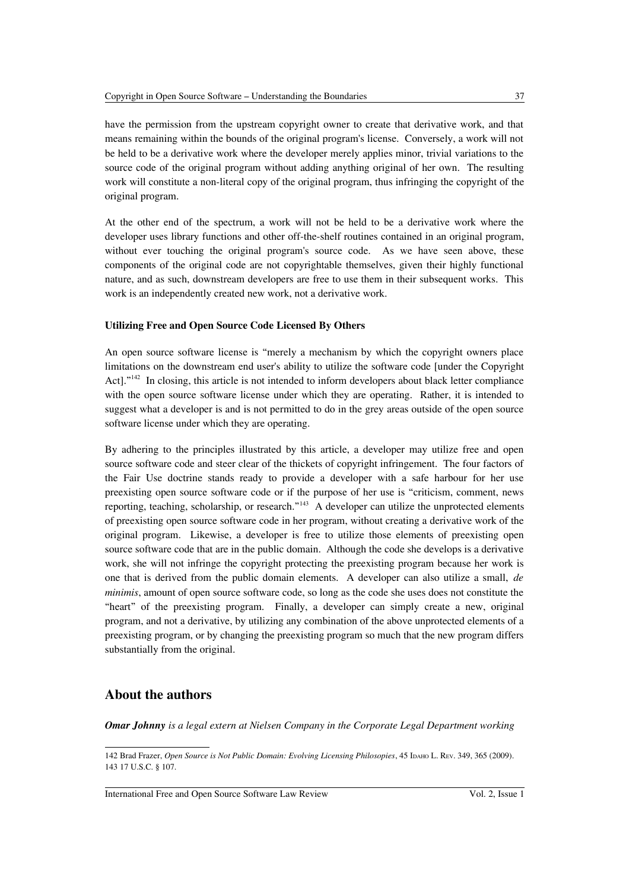have the permission from the upstream copyright owner to create that derivative work, and that means remaining within the bounds of the original program's license. Conversely, a work will not be held to be a derivative work where the developer merely applies minor, trivial variations to the source code of the original program without adding anything original of her own. The resulting work will constitute a non-literal copy of the original program, thus infringing the copyright of the original program.

At the other end of the spectrum, a work will not be held to be a derivative work where the developer uses library functions and other off-the-shelf routines contained in an original program, without ever touching the original program's source code. As we have seen above, these components of the original code are not copyrightable themselves, given their highly functional nature, and as such, downstream developers are free to use them in their subsequent works. This work is an independently created new work, not a derivative work.

# **Utilizing Free and Open Source Code Licensed By Others**

An open source software license is "merely a mechanism by which the copyright owners place limitations on the downstream end user's ability to utilize the software code [under the Copyright Act]."<sup>[142](#page-24-0)</sup> In closing, this article is not intended to inform developers about black letter compliance with the open source software license under which they are operating. Rather, it is intended to suggest what a developer is and is not permitted to do in the grey areas outside of the open source software license under which they are operating.

By adhering to the principles illustrated by this article, a developer may utilize free and open source software code and steer clear of the thickets of copyright infringement. The four factors of the Fair Use doctrine stands ready to provide a developer with a safe harbour for her use preexisting open source software code or if the purpose of her use is "criticism, comment, news reporting, teaching, scholarship, or research."[143](#page-24-1) A developer can utilize the unprotected elements of preexisting open source software code in her program, without creating a derivative work of the original program. Likewise, a developer is free to utilize those elements of preexisting open source software code that are in the public domain. Although the code she develops is a derivative work, she will not infringe the copyright protecting the preexisting program because her work is one that is derived from the public domain elements. A developer can also utilize a small, *de minimis*, amount of open source software code, so long as the code she uses does not constitute the "heart" of the preexisting program. Finally, a developer can simply create a new, original program, and not a derivative, by utilizing any combination of the above unprotected elements of a preexisting program, or by changing the preexisting program so much that the new program differs substantially from the original.

# **About the authors**

*Omar Johnny is a legal extern at Nielsen Company in the Corporate Legal Department working*

International Free and Open Source Software Law Review Vol. 2, Issue 1

<span id="page-24-1"></span><span id="page-24-0"></span><sup>142</sup> Brad Frazer, *Open Source is Not Public Domain: Evolving Licensing Philosopies*, 45 IDAHO L. REV. 349, 365 (2009). 143 17 U.S.C. § 107.